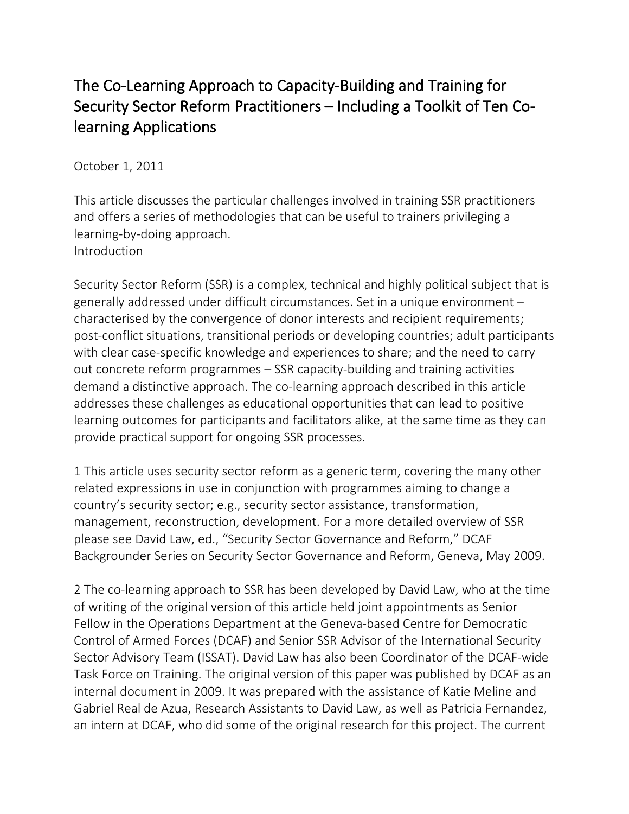# The Co-Learning Approach to Capacity-Building and Training for Security Sector Reform Practitioners – Including a Toolkit of Ten Colearning Applications

October 1, 2011

This article discusses the particular challenges involved in training SSR practitioners and offers a series of methodologies that can be useful to trainers privileging a learning-by-doing approach. Introduction

Security Sector Reform (SSR) is a complex, technical and highly political subject that is generally addressed under difficult circumstances. Set in a unique environment – characterised by the convergence of donor interests and recipient requirements; post-conflict situations, transitional periods or developing countries; adult participants with clear case-specific knowledge and experiences to share; and the need to carry out concrete reform programmes – SSR capacity-building and training activities demand a distinctive approach. The co-learning approach described in this article addresses these challenges as educational opportunities that can lead to positive learning outcomes for participants and facilitators alike, at the same time as they can provide practical support for ongoing SSR processes.

1 This article uses security sector reform as a generic term, covering the many other related expressions in use in conjunction with programmes aiming to change a country's security sector; e.g., security sector assistance, transformation, management, reconstruction, development. For a more detailed overview of SSR please see David Law, ed., "Security Sector Governance and Reform," DCAF Backgrounder Series on Security Sector Governance and Reform, Geneva, May 2009.

2 The co-learning approach to SSR has been developed by David Law, who at the time of writing of the original version of this article held joint appointments as Senior Fellow in the Operations Department at the Geneva-based Centre for Democratic Control of Armed Forces (DCAF) and Senior SSR Advisor of the International Security Sector Advisory Team (ISSAT). David Law has also been Coordinator of the DCAF-wide Task Force on Training. The original version of this paper was published by DCAF as an internal document in 2009. It was prepared with the assistance of Katie Meline and Gabriel Real de Azua, Research Assistants to David Law, as well as Patricia Fernandez, an intern at DCAF, who did some of the original research for this project. The current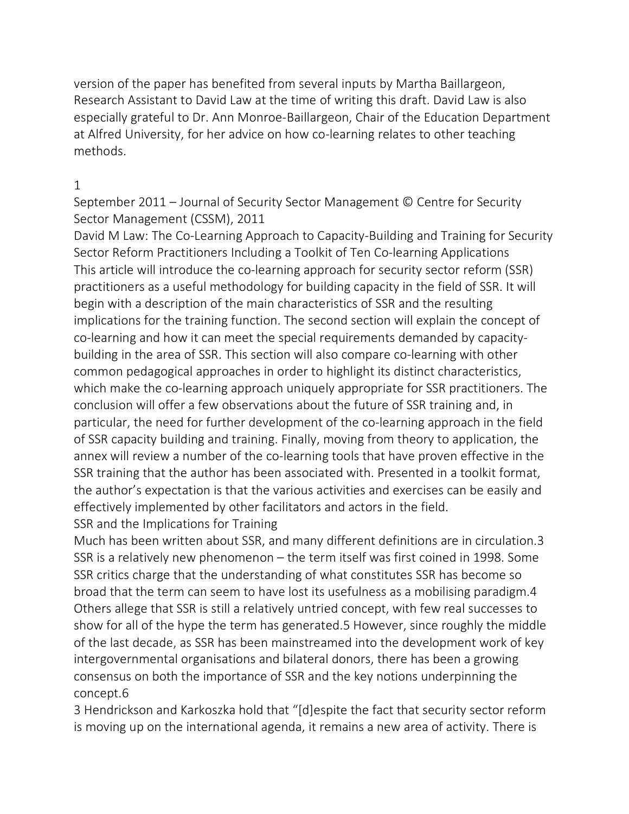version of the paper has benefited from several inputs by Martha Baillargeon, Research Assistant to David Law at the time of writing this draft. David Law is also especially grateful to Dr. Ann Monroe-Baillargeon, Chair of the Education Department at Alfred University, for her advice on how co-learning relates to other teaching methods.

#### 1

September 2011 – Journal of Security Sector Management © Centre for Security Sector Management (CSSM), 2011

David M Law: The Co-Learning Approach to Capacity-Building and Training for Security Sector Reform Practitioners Including a Toolkit of Ten Co-learning Applications This article will introduce the co-learning approach for security sector reform (SSR) practitioners as a useful methodology for building capacity in the field of SSR. It will begin with a description of the main characteristics of SSR and the resulting implications for the training function. The second section will explain the concept of co-learning and how it can meet the special requirements demanded by capacitybuilding in the area of SSR. This section will also compare co-learning with other common pedagogical approaches in order to highlight its distinct characteristics, which make the co-learning approach uniquely appropriate for SSR practitioners. The conclusion will offer a few observations about the future of SSR training and, in particular, the need for further development of the co-learning approach in the field of SSR capacity building and training. Finally, moving from theory to application, the annex will review a number of the co-learning tools that have proven effective in the SSR training that the author has been associated with. Presented in a toolkit format, the author's expectation is that the various activities and exercises can be easily and effectively implemented by other facilitators and actors in the field. SSR and the Implications for Training

Much has been written about SSR, and many different definitions are in circulation.3 SSR is a relatively new phenomenon – the term itself was first coined in 1998. Some SSR critics charge that the understanding of what constitutes SSR has become so broad that the term can seem to have lost its usefulness as a mobilising paradigm.4 Others allege that SSR is still a relatively untried concept, with few real successes to show for all of the hype the term has generated.5 However, since roughly the middle of the last decade, as SSR has been mainstreamed into the development work of key intergovernmental organisations and bilateral donors, there has been a growing consensus on both the importance of SSR and the key notions underpinning the concept.6

3 Hendrickson and Karkoszka hold that "[d]espite the fact that security sector reform is moving up on the international agenda, it remains a new area of activity. There is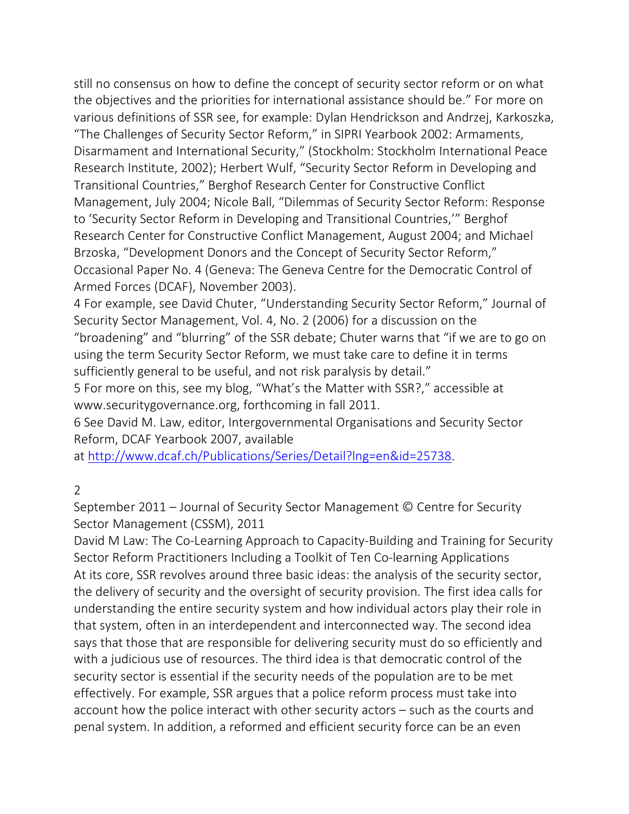still no consensus on how to define the concept of security sector reform or on what the objectives and the priorities for international assistance should be." For more on various definitions of SSR see, for example: Dylan Hendrickson and Andrzej, Karkoszka, "The Challenges of Security Sector Reform," in SIPRI Yearbook 2002: Armaments, Disarmament and International Security," (Stockholm: Stockholm International Peace Research Institute, 2002); Herbert Wulf, "Security Sector Reform in Developing and Transitional Countries," Berghof Research Center for Constructive Conflict Management, July 2004; Nicole Ball, "Dilemmas of Security Sector Reform: Response to 'Security Sector Reform in Developing and Transitional Countries,'" Berghof Research Center for Constructive Conflict Management, August 2004; and Michael Brzoska, "Development Donors and the Concept of Security Sector Reform," Occasional Paper No. 4 (Geneva: The Geneva Centre for the Democratic Control of Armed Forces (DCAF), November 2003).

4 For example, see David Chuter, "Understanding Security Sector Reform," Journal of Security Sector Management, Vol. 4, No. 2 (2006) for a discussion on the "broadening" and "blurring" of the SSR debate; Chuter warns that "if we are to go on using the term Security Sector Reform, we must take care to define it in terms sufficiently general to be useful, and not risk paralysis by detail."

5 For more on this, see my blog, "What's the Matter with SSR?," accessible at www.securitygovernance.org, forthcoming in fall 2011.

6 See David M. Law, editor, Intergovernmental Organisations and Security Sector Reform, DCAF Yearbook 2007, available

at http://www.dcaf.ch/Publications/Series/Detail?lng=en&id=25738.

### 2

September 2011 – Journal of Security Sector Management © Centre for Security Sector Management (CSSM), 2011

David M Law: The Co-Learning Approach to Capacity-Building and Training for Security Sector Reform Practitioners Including a Toolkit of Ten Co-learning Applications At its core, SSR revolves around three basic ideas: the analysis of the security sector, the delivery of security and the oversight of security provision. The first idea calls for understanding the entire security system and how individual actors play their role in that system, often in an interdependent and interconnected way. The second idea says that those that are responsible for delivering security must do so efficiently and with a judicious use of resources. The third idea is that democratic control of the security sector is essential if the security needs of the population are to be met effectively. For example, SSR argues that a police reform process must take into account how the police interact with other security actors – such as the courts and penal system. In addition, a reformed and efficient security force can be an even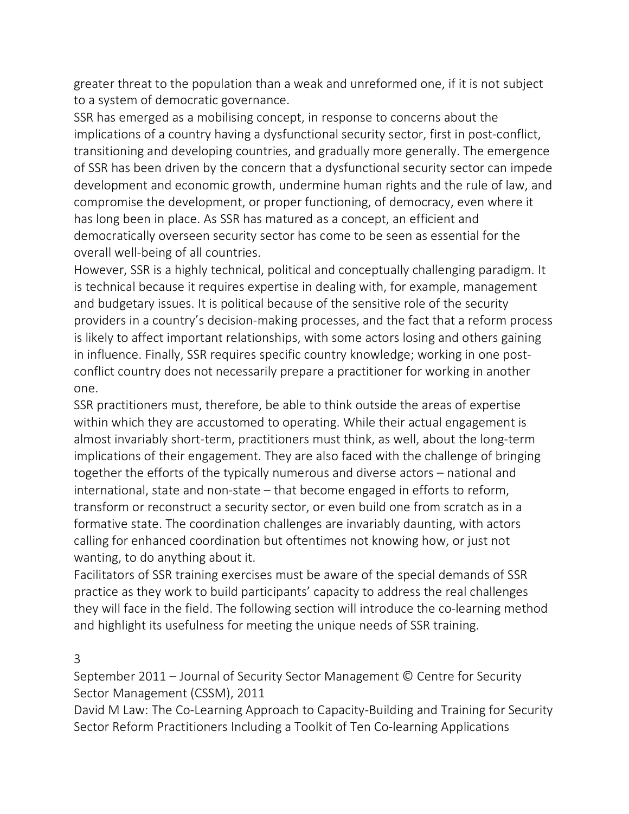greater threat to the population than a weak and unreformed one, if it is not subject to a system of democratic governance.

SSR has emerged as a mobilising concept, in response to concerns about the implications of a country having a dysfunctional security sector, first in post-conflict, transitioning and developing countries, and gradually more generally. The emergence of SSR has been driven by the concern that a dysfunctional security sector can impede development and economic growth, undermine human rights and the rule of law, and compromise the development, or proper functioning, of democracy, even where it has long been in place. As SSR has matured as a concept, an efficient and democratically overseen security sector has come to be seen as essential for the overall well-being of all countries.

However, SSR is a highly technical, political and conceptually challenging paradigm. It is technical because it requires expertise in dealing with, for example, management and budgetary issues. It is political because of the sensitive role of the security providers in a country's decision-making processes, and the fact that a reform process is likely to affect important relationships, with some actors losing and others gaining in influence. Finally, SSR requires specific country knowledge; working in one postconflict country does not necessarily prepare a practitioner for working in another one.

SSR practitioners must, therefore, be able to think outside the areas of expertise within which they are accustomed to operating. While their actual engagement is almost invariably short-term, practitioners must think, as well, about the long-term implications of their engagement. They are also faced with the challenge of bringing together the efforts of the typically numerous and diverse actors – national and international, state and non-state – that become engaged in efforts to reform, transform or reconstruct a security sector, or even build one from scratch as in a formative state. The coordination challenges are invariably daunting, with actors calling for enhanced coordination but oftentimes not knowing how, or just not wanting, to do anything about it.

Facilitators of SSR training exercises must be aware of the special demands of SSR practice as they work to build participants' capacity to address the real challenges they will face in the field. The following section will introduce the co-learning method and highlight its usefulness for meeting the unique needs of SSR training.

#### 3

September 2011 – Journal of Security Sector Management © Centre for Security Sector Management (CSSM), 2011

David M Law: The Co-Learning Approach to Capacity-Building and Training for Security Sector Reform Practitioners Including a Toolkit of Ten Co-learning Applications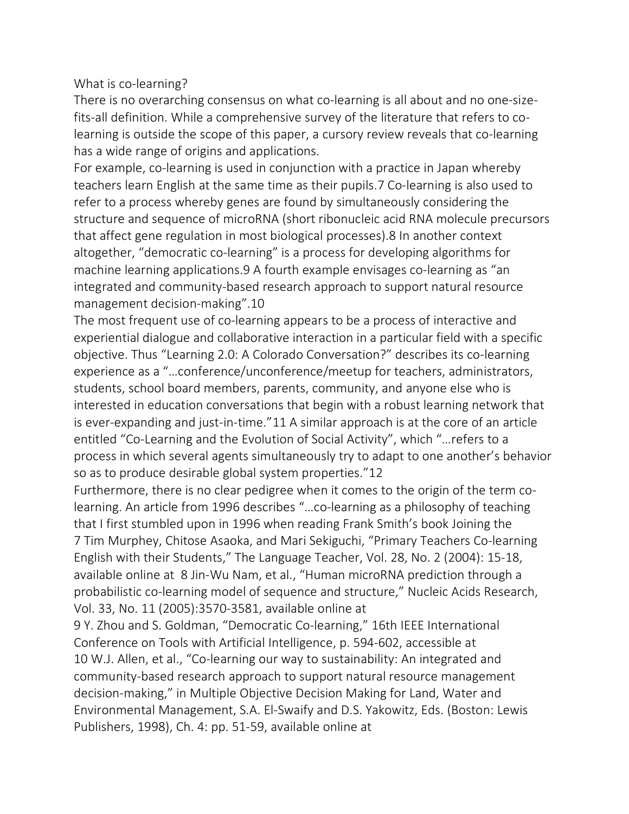What is co-learning?

There is no overarching consensus on what co-learning is all about and no one-sizefits-all definition. While a comprehensive survey of the literature that refers to colearning is outside the scope of this paper, a cursory review reveals that co-learning has a wide range of origins and applications.

For example, co-learning is used in conjunction with a practice in Japan whereby teachers learn English at the same time as their pupils.7 Co-learning is also used to refer to a process whereby genes are found by simultaneously considering the structure and sequence of microRNA (short ribonucleic acid RNA molecule precursors that affect gene regulation in most biological processes).8 In another context altogether, "democratic co-learning" is a process for developing algorithms for machine learning applications.9 A fourth example envisages co-learning as "an integrated and community-based research approach to support natural resource management decision-making".10

The most frequent use of co-learning appears to be a process of interactive and experiential dialogue and collaborative interaction in a particular field with a specific objective. Thus "Learning 2.0: A Colorado Conversation?" describes its co-learning experience as a "…conference/unconference/meetup for teachers, administrators, students, school board members, parents, community, and anyone else who is interested in education conversations that begin with a robust learning network that is ever-expanding and just-in-time."11 A similar approach is at the core of an article entitled "Co-Learning and the Evolution of Social Activity", which "…refers to a process in which several agents simultaneously try to adapt to one another's behavior so as to produce desirable global system properties."12

Furthermore, there is no clear pedigree when it comes to the origin of the term colearning. An article from 1996 describes "…co-learning as a philosophy of teaching that I first stumbled upon in 1996 when reading Frank Smith's book Joining the 7 Tim Murphey, Chitose Asaoka, and Mari Sekiguchi, "Primary Teachers Co-learning English with their Students," The Language Teacher, Vol. 28, No. 2 (2004): 15-18, available online at 8 Jin-Wu Nam, et al., "Human microRNA prediction through a probabilistic co-learning model of sequence and structure," Nucleic Acids Research, Vol. 33, No. 11 (2005):3570-3581, available online at

9 Y. Zhou and S. Goldman, "Democratic Co-learning," 16th IEEE International Conference on Tools with Artificial Intelligence, p. 594-602, accessible at 10 W.J. Allen, et al., "Co-learning our way to sustainability: An integrated and community-based research approach to support natural resource management decision-making," in Multiple Objective Decision Making for Land, Water and Environmental Management, S.A. El-Swaify and D.S. Yakowitz, Eds. (Boston: Lewis Publishers, 1998), Ch. 4: pp. 51-59, available online at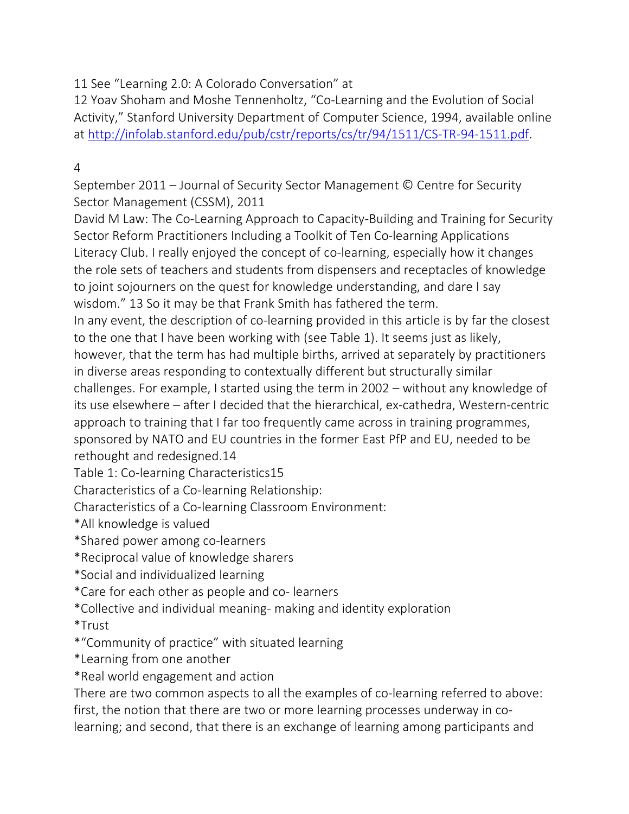11 See "Learning 2.0: A Colorado Conversation" at

12 Yoav Shoham and Moshe Tennenholtz, "Co-Learning and the Evolution of Social Activity," Stanford University Department of Computer Science, 1994, available online at http://infolab.stanford.edu/pub/cstr/reports/cs/tr/94/1511/CS-TR-94-1511.pdf.

# 4

September 2011 – Journal of Security Sector Management © Centre for Security Sector Management (CSSM), 2011

David M Law: The Co-Learning Approach to Capacity-Building and Training for Security Sector Reform Practitioners Including a Toolkit of Ten Co-learning Applications Literacy Club. I really enjoyed the concept of co-learning, especially how it changes the role sets of teachers and students from dispensers and receptacles of knowledge to joint sojourners on the quest for knowledge understanding, and dare I say wisdom." 13 So it may be that Frank Smith has fathered the term.

In any event, the description of co-learning provided in this article is by far the closest to the one that I have been working with (see Table 1). It seems just as likely, however, that the term has had multiple births, arrived at separately by practitioners

in diverse areas responding to contextually different but structurally similar challenges. For example, I started using the term in 2002 – without any knowledge of its use elsewhere – after I decided that the hierarchical, ex-cathedra, Western-centric approach to training that I far too frequently came across in training programmes, sponsored by NATO and EU countries in the former East PfP and EU, needed to be rethought and redesigned.14

Table 1: Co-learning Characteristics15

Characteristics of a Co-learning Relationship:

Characteristics of a Co-learning Classroom Environment:

\*All knowledge is valued

\*Shared power among co-learners

- \*Reciprocal value of knowledge sharers
- \*Social and individualized learning
- \*Care for each other as people and co- learners
- \*Collective and individual meaning- making and identity exploration

\*Trust

- \*"Community of practice" with situated learning
- \*Learning from one another
- \*Real world engagement and action

There are two common aspects to all the examples of co-learning referred to above: first, the notion that there are two or more learning processes underway in colearning; and second, that there is an exchange of learning among participants and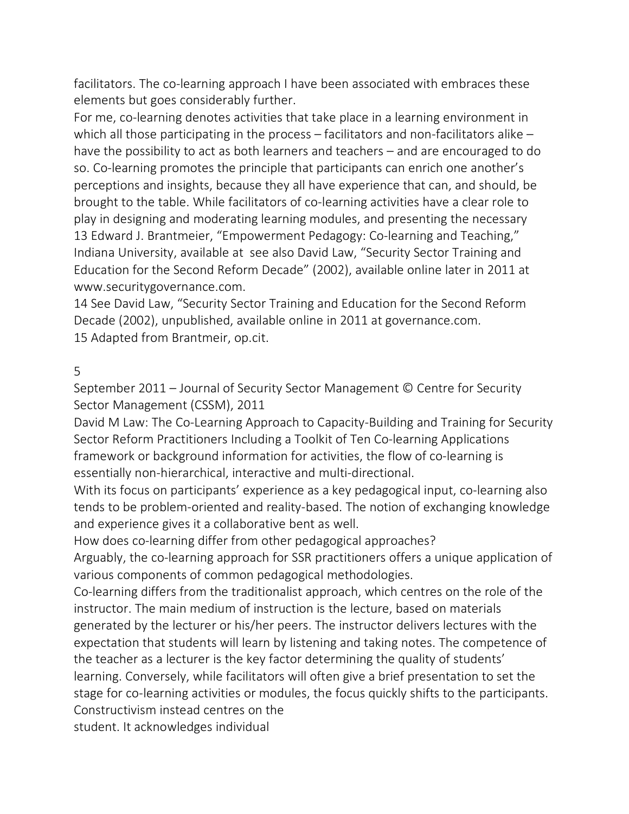facilitators. The co-learning approach I have been associated with embraces these elements but goes considerably further.

For me, co-learning denotes activities that take place in a learning environment in which all those participating in the process – facilitators and non-facilitators alike – have the possibility to act as both learners and teachers – and are encouraged to do so. Co-learning promotes the principle that participants can enrich one another's perceptions and insights, because they all have experience that can, and should, be brought to the table. While facilitators of co-learning activities have a clear role to play in designing and moderating learning modules, and presenting the necessary 13 Edward J. Brantmeier, "Empowerment Pedagogy: Co-learning and Teaching," Indiana University, available at see also David Law, "Security Sector Training and Education for the Second Reform Decade" (2002), available online later in 2011 at www.securitygovernance.com.

14 See David Law, "Security Sector Training and Education for the Second Reform Decade (2002), unpublished, available online in 2011 at governance.com. 15 Adapted from Brantmeir, op.cit.

#### 5

September 2011 – Journal of Security Sector Management © Centre for Security Sector Management (CSSM), 2011

David M Law: The Co-Learning Approach to Capacity-Building and Training for Security Sector Reform Practitioners Including a Toolkit of Ten Co-learning Applications framework or background information for activities, the flow of co-learning is essentially non-hierarchical, interactive and multi-directional.

With its focus on participants' experience as a key pedagogical input, co-learning also tends to be problem-oriented and reality-based. The notion of exchanging knowledge and experience gives it a collaborative bent as well.

How does co-learning differ from other pedagogical approaches?

Arguably, the co-learning approach for SSR practitioners offers a unique application of various components of common pedagogical methodologies.

Co-learning differs from the traditionalist approach, which centres on the role of the instructor. The main medium of instruction is the lecture, based on materials generated by the lecturer or his/her peers. The instructor delivers lectures with the expectation that students will learn by listening and taking notes. The competence of the teacher as a lecturer is the key factor determining the quality of students' learning. Conversely, while facilitators will often give a brief presentation to set the stage for co-learning activities or modules, the focus quickly shifts to the participants. Constructivism instead centres on the

student. It acknowledges individual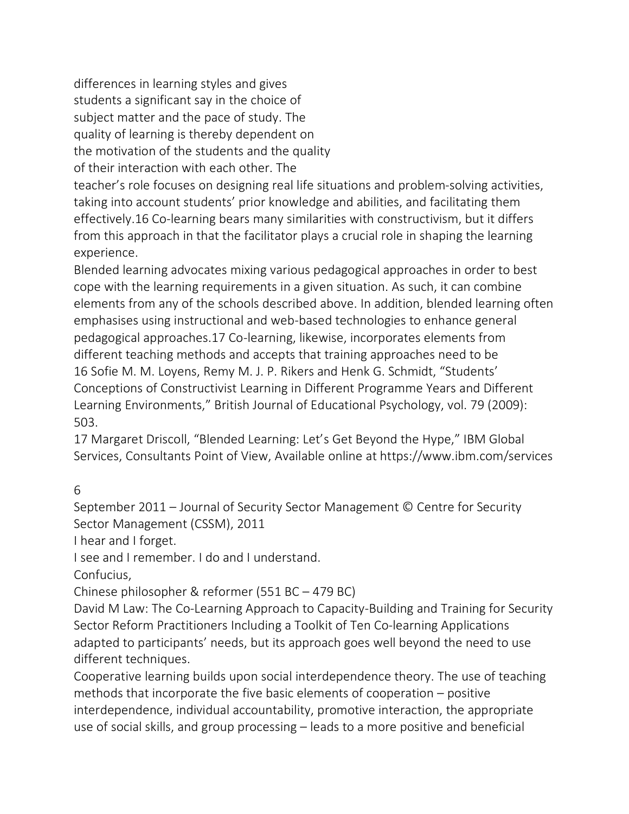differences in learning styles and gives students a significant say in the choice of subject matter and the pace of study. The quality of learning is thereby dependent on the motivation of the students and the quality of their interaction with each other. The

teacher's role focuses on designing real life situations and problem-solving activities, taking into account students' prior knowledge and abilities, and facilitating them effectively.16 Co-learning bears many similarities with constructivism, but it differs from this approach in that the facilitator plays a crucial role in shaping the learning experience.

Blended learning advocates mixing various pedagogical approaches in order to best cope with the learning requirements in a given situation. As such, it can combine elements from any of the schools described above. In addition, blended learning often emphasises using instructional and web-based technologies to enhance general pedagogical approaches.17 Co-learning, likewise, incorporates elements from different teaching methods and accepts that training approaches need to be 16 Sofie M. M. Loyens, Remy M. J. P. Rikers and Henk G. Schmidt, "Students' Conceptions of Constructivist Learning in Different Programme Years and Different Learning Environments," British Journal of Educational Psychology, vol. 79 (2009): 503.

17 Margaret Driscoll, "Blended Learning: Let's Get Beyond the Hype," IBM Global Services, Consultants Point of View, Available online at https://www.ibm.com/services

6

September 2011 – Journal of Security Sector Management © Centre for Security Sector Management (CSSM), 2011

I hear and I forget.

I see and I remember. I do and I understand.

Confucius,

Chinese philosopher & reformer (551 BC – 479 BC)

David M Law: The Co-Learning Approach to Capacity-Building and Training for Security Sector Reform Practitioners Including a Toolkit of Ten Co-learning Applications adapted to participants' needs, but its approach goes well beyond the need to use different techniques.

Cooperative learning builds upon social interdependence theory. The use of teaching methods that incorporate the five basic elements of cooperation – positive interdependence, individual accountability, promotive interaction, the appropriate use of social skills, and group processing – leads to a more positive and beneficial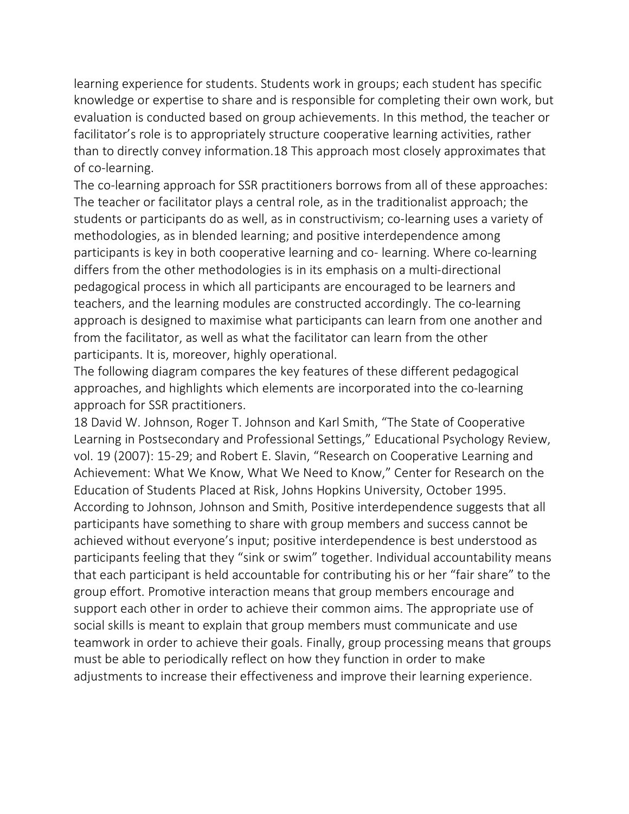learning experience for students. Students work in groups; each student has specific knowledge or expertise to share and is responsible for completing their own work, but evaluation is conducted based on group achievements. In this method, the teacher or facilitator's role is to appropriately structure cooperative learning activities, rather than to directly convey information.18 This approach most closely approximates that of co-learning.

The co-learning approach for SSR practitioners borrows from all of these approaches: The teacher or facilitator plays a central role, as in the traditionalist approach; the students or participants do as well, as in constructivism; co-learning uses a variety of methodologies, as in blended learning; and positive interdependence among participants is key in both cooperative learning and co- learning. Where co-learning differs from the other methodologies is in its emphasis on a multi-directional pedagogical process in which all participants are encouraged to be learners and teachers, and the learning modules are constructed accordingly. The co-learning approach is designed to maximise what participants can learn from one another and from the facilitator, as well as what the facilitator can learn from the other participants. It is, moreover, highly operational.

The following diagram compares the key features of these different pedagogical approaches, and highlights which elements are incorporated into the co-learning approach for SSR practitioners.

18 David W. Johnson, Roger T. Johnson and Karl Smith, "The State of Cooperative Learning in Postsecondary and Professional Settings," Educational Psychology Review, vol. 19 (2007): 15-29; and Robert E. Slavin, "Research on Cooperative Learning and Achievement: What We Know, What We Need to Know," Center for Research on the Education of Students Placed at Risk, Johns Hopkins University, October 1995. According to Johnson, Johnson and Smith, Positive interdependence suggests that all participants have something to share with group members and success cannot be achieved without everyone's input; positive interdependence is best understood as participants feeling that they "sink or swim" together. Individual accountability means that each participant is held accountable for contributing his or her "fair share" to the group effort. Promotive interaction means that group members encourage and support each other in order to achieve their common aims. The appropriate use of social skills is meant to explain that group members must communicate and use teamwork in order to achieve their goals. Finally, group processing means that groups must be able to periodically reflect on how they function in order to make adjustments to increase their effectiveness and improve their learning experience.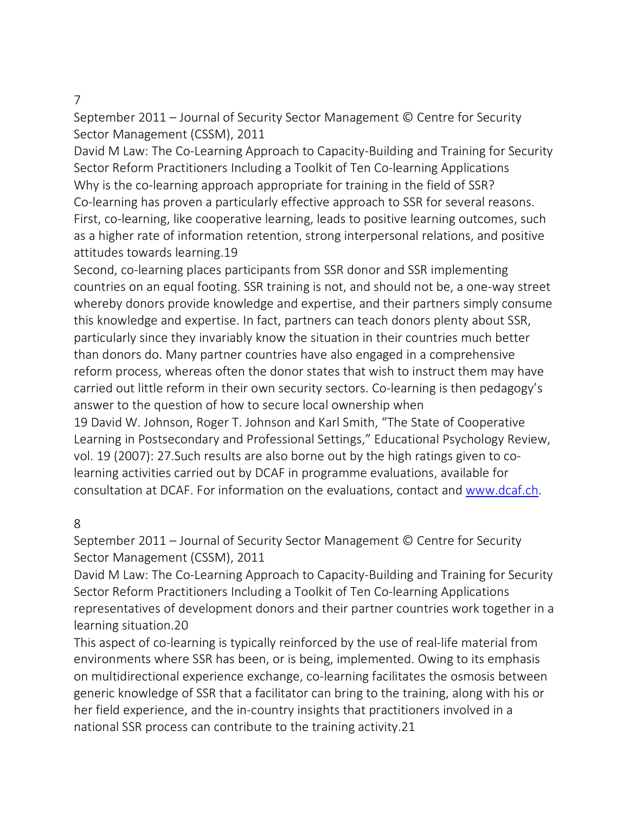#### 7

September 2011 – Journal of Security Sector Management © Centre for Security Sector Management (CSSM), 2011

David M Law: The Co-Learning Approach to Capacity-Building and Training for Security Sector Reform Practitioners Including a Toolkit of Ten Co-learning Applications Why is the co-learning approach appropriate for training in the field of SSR? Co-learning has proven a particularly effective approach to SSR for several reasons. First, co-learning, like cooperative learning, leads to positive learning outcomes, such as a higher rate of information retention, strong interpersonal relations, and positive attitudes towards learning.19

Second, co-learning places participants from SSR donor and SSR implementing countries on an equal footing. SSR training is not, and should not be, a one-way street whereby donors provide knowledge and expertise, and their partners simply consume this knowledge and expertise. In fact, partners can teach donors plenty about SSR, particularly since they invariably know the situation in their countries much better than donors do. Many partner countries have also engaged in a comprehensive reform process, whereas often the donor states that wish to instruct them may have carried out little reform in their own security sectors. Co-learning is then pedagogy's answer to the question of how to secure local ownership when

19 David W. Johnson, Roger T. Johnson and Karl Smith, "The State of Cooperative Learning in Postsecondary and Professional Settings," Educational Psychology Review, vol. 19 (2007): 27.Such results are also borne out by the high ratings given to colearning activities carried out by DCAF in programme evaluations, available for consultation at DCAF. For information on the evaluations, contact and www.dcaf.ch.

#### 8

September 2011 – Journal of Security Sector Management © Centre for Security Sector Management (CSSM), 2011

David M Law: The Co-Learning Approach to Capacity-Building and Training for Security Sector Reform Practitioners Including a Toolkit of Ten Co-learning Applications representatives of development donors and their partner countries work together in a learning situation.20

This aspect of co-learning is typically reinforced by the use of real-life material from environments where SSR has been, or is being, implemented. Owing to its emphasis on multidirectional experience exchange, co-learning facilitates the osmosis between generic knowledge of SSR that a facilitator can bring to the training, along with his or her field experience, and the in-country insights that practitioners involved in a national SSR process can contribute to the training activity.21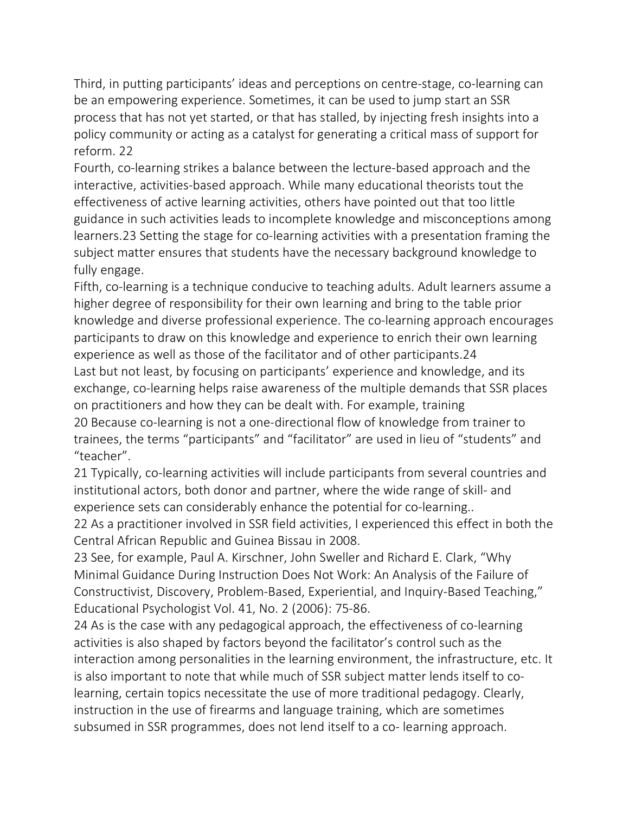Third, in putting participants' ideas and perceptions on centre-stage, co-learning can be an empowering experience. Sometimes, it can be used to jump start an SSR process that has not yet started, or that has stalled, by injecting fresh insights into a policy community or acting as a catalyst for generating a critical mass of support for reform. 22

Fourth, co-learning strikes a balance between the lecture-based approach and the interactive, activities-based approach. While many educational theorists tout the effectiveness of active learning activities, others have pointed out that too little guidance in such activities leads to incomplete knowledge and misconceptions among learners.23 Setting the stage for co-learning activities with a presentation framing the subject matter ensures that students have the necessary background knowledge to fully engage.

Fifth, co-learning is a technique conducive to teaching adults. Adult learners assume a higher degree of responsibility for their own learning and bring to the table prior knowledge and diverse professional experience. The co-learning approach encourages participants to draw on this knowledge and experience to enrich their own learning experience as well as those of the facilitator and of other participants.24 Last but not least, by focusing on participants' experience and knowledge, and its exchange, co-learning helps raise awareness of the multiple demands that SSR places on practitioners and how they can be dealt with. For example, training 20 Because co-learning is not a one-directional flow of knowledge from trainer to trainees, the terms "participants" and "facilitator" are used in lieu of "students" and "teacher".

21 Typically, co-learning activities will include participants from several countries and institutional actors, both donor and partner, where the wide range of skill- and experience sets can considerably enhance the potential for co-learning..

22 As a practitioner involved in SSR field activities, I experienced this effect in both the Central African Republic and Guinea Bissau in 2008.

23 See, for example, Paul A. Kirschner, John Sweller and Richard E. Clark, "Why Minimal Guidance During Instruction Does Not Work: An Analysis of the Failure of Constructivist, Discovery, Problem-Based, Experiential, and Inquiry-Based Teaching," Educational Psychologist Vol. 41, No. 2 (2006): 75-86.

24 As is the case with any pedagogical approach, the effectiveness of co-learning activities is also shaped by factors beyond the facilitator's control such as the interaction among personalities in the learning environment, the infrastructure, etc. It is also important to note that while much of SSR subject matter lends itself to colearning, certain topics necessitate the use of more traditional pedagogy. Clearly, instruction in the use of firearms and language training, which are sometimes subsumed in SSR programmes, does not lend itself to a co- learning approach.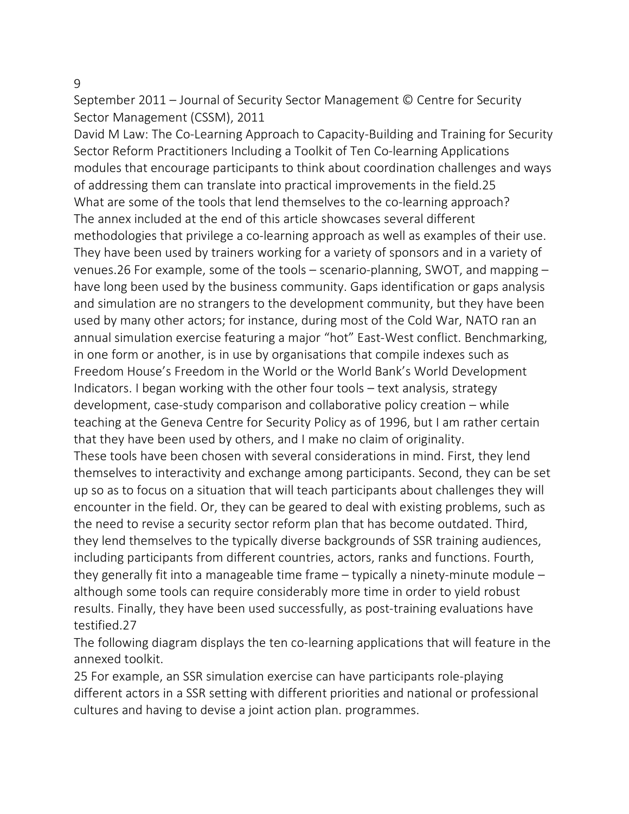9

September 2011 – Journal of Security Sector Management © Centre for Security Sector Management (CSSM), 2011

David M Law: The Co-Learning Approach to Capacity-Building and Training for Security Sector Reform Practitioners Including a Toolkit of Ten Co-learning Applications modules that encourage participants to think about coordination challenges and ways of addressing them can translate into practical improvements in the field.25 What are some of the tools that lend themselves to the co-learning approach? The annex included at the end of this article showcases several different methodologies that privilege a co-learning approach as well as examples of their use. They have been used by trainers working for a variety of sponsors and in a variety of venues.26 For example, some of the tools – scenario-planning, SWOT, and mapping – have long been used by the business community. Gaps identification or gaps analysis and simulation are no strangers to the development community, but they have been used by many other actors; for instance, during most of the Cold War, NATO ran an annual simulation exercise featuring a major "hot" East-West conflict. Benchmarking, in one form or another, is in use by organisations that compile indexes such as Freedom House's Freedom in the World or the World Bank's World Development Indicators. I began working with the other four tools – text analysis, strategy development, case-study comparison and collaborative policy creation – while teaching at the Geneva Centre for Security Policy as of 1996, but I am rather certain that they have been used by others, and I make no claim of originality. These tools have been chosen with several considerations in mind. First, they lend themselves to interactivity and exchange among participants. Second, they can be set up so as to focus on a situation that will teach participants about challenges they will encounter in the field. Or, they can be geared to deal with existing problems, such as the need to revise a security sector reform plan that has become outdated. Third, they lend themselves to the typically diverse backgrounds of SSR training audiences, including participants from different countries, actors, ranks and functions. Fourth, they generally fit into a manageable time frame – typically a ninety-minute module – although some tools can require considerably more time in order to yield robust results. Finally, they have been used successfully, as post-training evaluations have testified.27

The following diagram displays the ten co-learning applications that will feature in the annexed toolkit.

25 For example, an SSR simulation exercise can have participants role-playing different actors in a SSR setting with different priorities and national or professional cultures and having to devise a joint action plan. programmes.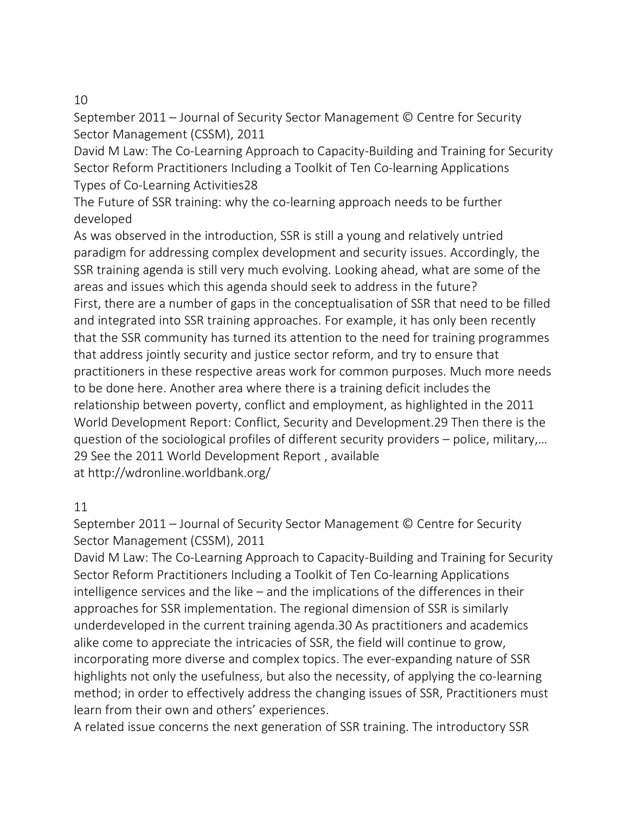### 10

September 2011 – Journal of Security Sector Management © Centre for Security Sector Management (CSSM), 2011

David M Law: The Co-Learning Approach to Capacity-Building and Training for Security Sector Reform Practitioners Including a Toolkit of Ten Co-learning Applications Types of Co-Learning Activities28

The Future of SSR training: why the co-learning approach needs to be further developed

As was observed in the introduction, SSR is still a young and relatively untried paradigm for addressing complex development and security issues. Accordingly, the SSR training agenda is still very much evolving. Looking ahead, what are some of the areas and issues which this agenda should seek to address in the future? First, there are a number of gaps in the conceptualisation of SSR that need to be filled and integrated into SSR training approaches. For example, it has only been recently that the SSR community has turned its attention to the need for training programmes that address jointly security and justice sector reform, and try to ensure that practitioners in these respective areas work for common purposes. Much more needs to be done here. Another area where there is a training deficit includes the relationship between poverty, conflict and employment, as highlighted in the 2011 World Development Report: Conflict, Security and Development.29 Then there is the question of the sociological profiles of different security providers – police, military,… 29 See the 2011 World Development Report , available at http://wdronline.worldbank.org/

# 11

September 2011 – Journal of Security Sector Management © Centre for Security Sector Management (CSSM), 2011

David M Law: The Co-Learning Approach to Capacity-Building and Training for Security Sector Reform Practitioners Including a Toolkit of Ten Co-learning Applications intelligence services and the like – and the implications of the differences in their approaches for SSR implementation. The regional dimension of SSR is similarly underdeveloped in the current training agenda.30 As practitioners and academics alike come to appreciate the intricacies of SSR, the field will continue to grow, incorporating more diverse and complex topics. The ever-expanding nature of SSR highlights not only the usefulness, but also the necessity, of applying the co-learning method; in order to effectively address the changing issues of SSR, Practitioners must learn from their own and others' experiences.

A related issue concerns the next generation of SSR training. The introductory SSR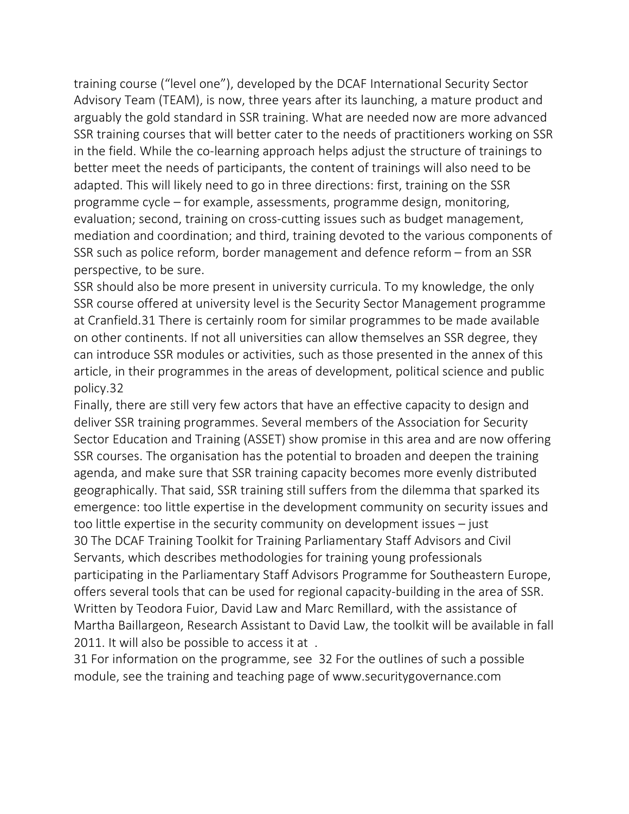training course ("level one"), developed by the DCAF International Security Sector Advisory Team (TEAM), is now, three years after its launching, a mature product and arguably the gold standard in SSR training. What are needed now are more advanced SSR training courses that will better cater to the needs of practitioners working on SSR in the field. While the co-learning approach helps adjust the structure of trainings to better meet the needs of participants, the content of trainings will also need to be adapted. This will likely need to go in three directions: first, training on the SSR programme cycle – for example, assessments, programme design, monitoring, evaluation; second, training on cross-cutting issues such as budget management, mediation and coordination; and third, training devoted to the various components of SSR such as police reform, border management and defence reform – from an SSR perspective, to be sure.

SSR should also be more present in university curricula. To my knowledge, the only SSR course offered at university level is the Security Sector Management programme at Cranfield.31 There is certainly room for similar programmes to be made available on other continents. If not all universities can allow themselves an SSR degree, they can introduce SSR modules or activities, such as those presented in the annex of this article, in their programmes in the areas of development, political science and public policy.32

Finally, there are still very few actors that have an effective capacity to design and deliver SSR training programmes. Several members of the Association for Security Sector Education and Training (ASSET) show promise in this area and are now offering SSR courses. The organisation has the potential to broaden and deepen the training agenda, and make sure that SSR training capacity becomes more evenly distributed geographically. That said, SSR training still suffers from the dilemma that sparked its emergence: too little expertise in the development community on security issues and too little expertise in the security community on development issues – just 30 The DCAF Training Toolkit for Training Parliamentary Staff Advisors and Civil Servants, which describes methodologies for training young professionals participating in the Parliamentary Staff Advisors Programme for Southeastern Europe, offers several tools that can be used for regional capacity-building in the area of SSR. Written by Teodora Fuior, David Law and Marc Remillard, with the assistance of Martha Baillargeon, Research Assistant to David Law, the toolkit will be available in fall 2011. It will also be possible to access it at .

31 For information on the programme, see 32 For the outlines of such a possible module, see the training and teaching page of www.securitygovernance.com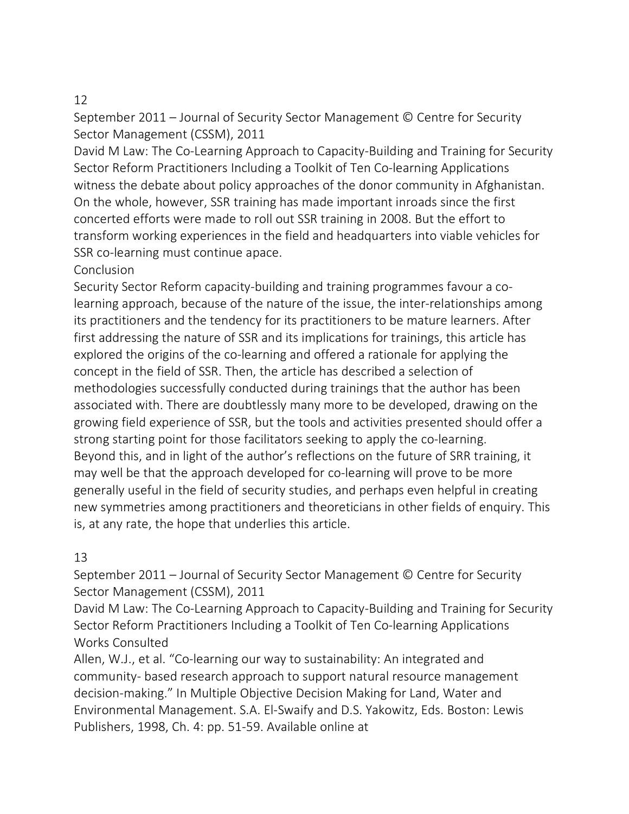### 12

September 2011 – Journal of Security Sector Management © Centre for Security Sector Management (CSSM), 2011

David M Law: The Co-Learning Approach to Capacity-Building and Training for Security Sector Reform Practitioners Including a Toolkit of Ten Co-learning Applications witness the debate about policy approaches of the donor community in Afghanistan. On the whole, however, SSR training has made important inroads since the first concerted efforts were made to roll out SSR training in 2008. But the effort to transform working experiences in the field and headquarters into viable vehicles for SSR co-learning must continue apace.

### **Conclusion**

Security Sector Reform capacity-building and training programmes favour a colearning approach, because of the nature of the issue, the inter-relationships among its practitioners and the tendency for its practitioners to be mature learners. After first addressing the nature of SSR and its implications for trainings, this article has explored the origins of the co-learning and offered a rationale for applying the concept in the field of SSR. Then, the article has described a selection of methodologies successfully conducted during trainings that the author has been associated with. There are doubtlessly many more to be developed, drawing on the growing field experience of SSR, but the tools and activities presented should offer a strong starting point for those facilitators seeking to apply the co-learning. Beyond this, and in light of the author's reflections on the future of SRR training, it may well be that the approach developed for co-learning will prove to be more generally useful in the field of security studies, and perhaps even helpful in creating new symmetries among practitioners and theoreticians in other fields of enquiry. This is, at any rate, the hope that underlies this article.

### 13

September 2011 – Journal of Security Sector Management © Centre for Security Sector Management (CSSM), 2011

David M Law: The Co-Learning Approach to Capacity-Building and Training for Security Sector Reform Practitioners Including a Toolkit of Ten Co-learning Applications Works Consulted

Allen, W.J., et al. "Co-learning our way to sustainability: An integrated and community- based research approach to support natural resource management decision-making." In Multiple Objective Decision Making for Land, Water and Environmental Management. S.A. El-Swaify and D.S. Yakowitz, Eds. Boston: Lewis Publishers, 1998, Ch. 4: pp. 51-59. Available online at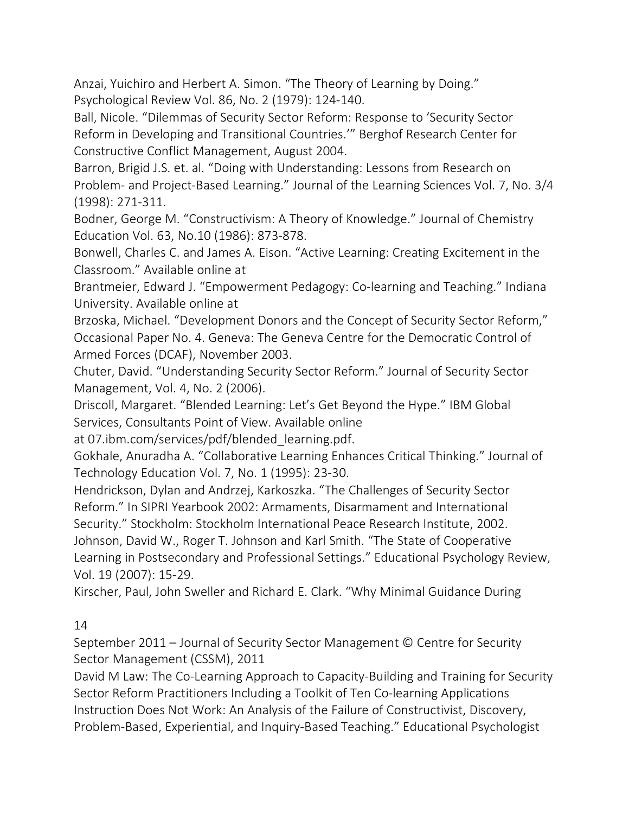Anzai, Yuichiro and Herbert A. Simon. "The Theory of Learning by Doing." Psychological Review Vol. 86, No. 2 (1979): 124-140.

Ball, Nicole. "Dilemmas of Security Sector Reform: Response to 'Security Sector Reform in Developing and Transitional Countries.'" Berghof Research Center for Constructive Conflict Management, August 2004.

Barron, Brigid J.S. et. al. "Doing with Understanding: Lessons from Research on Problem- and Project-Based Learning." Journal of the Learning Sciences Vol. 7, No. 3/4 (1998): 271-311.

Bodner, George M. "Constructivism: A Theory of Knowledge." Journal of Chemistry Education Vol. 63, No.10 (1986): 873-878.

Bonwell, Charles C. and James A. Eison. "Active Learning: Creating Excitement in the Classroom." Available online at

Brantmeier, Edward J. "Empowerment Pedagogy: Co-learning and Teaching." Indiana University. Available online at

Brzoska, Michael. "Development Donors and the Concept of Security Sector Reform," Occasional Paper No. 4. Geneva: The Geneva Centre for the Democratic Control of Armed Forces (DCAF), November 2003.

Chuter, David. "Understanding Security Sector Reform." Journal of Security Sector Management, Vol. 4, No. 2 (2006).

Driscoll, Margaret. "Blended Learning: Let's Get Beyond the Hype." IBM Global Services, Consultants Point of View. Available online

at 07.ibm.com/services/pdf/blended\_learning.pdf.

Gokhale, Anuradha A. "Collaborative Learning Enhances Critical Thinking." Journal of Technology Education Vol. 7, No. 1 (1995): 23-30.

Hendrickson, Dylan and Andrzej, Karkoszka. "The Challenges of Security Sector Reform." In SIPRI Yearbook 2002: Armaments, Disarmament and International Security." Stockholm: Stockholm International Peace Research Institute, 2002.

Johnson, David W., Roger T. Johnson and Karl Smith. "The State of Cooperative Learning in Postsecondary and Professional Settings." Educational Psychology Review, Vol. 19 (2007): 15-29.

Kirscher, Paul, John Sweller and Richard E. Clark. "Why Minimal Guidance During

14

September 2011 – Journal of Security Sector Management © Centre for Security Sector Management (CSSM), 2011

David M Law: The Co-Learning Approach to Capacity-Building and Training for Security Sector Reform Practitioners Including a Toolkit of Ten Co-learning Applications Instruction Does Not Work: An Analysis of the Failure of Constructivist, Discovery, Problem-Based, Experiential, and Inquiry-Based Teaching." Educational Psychologist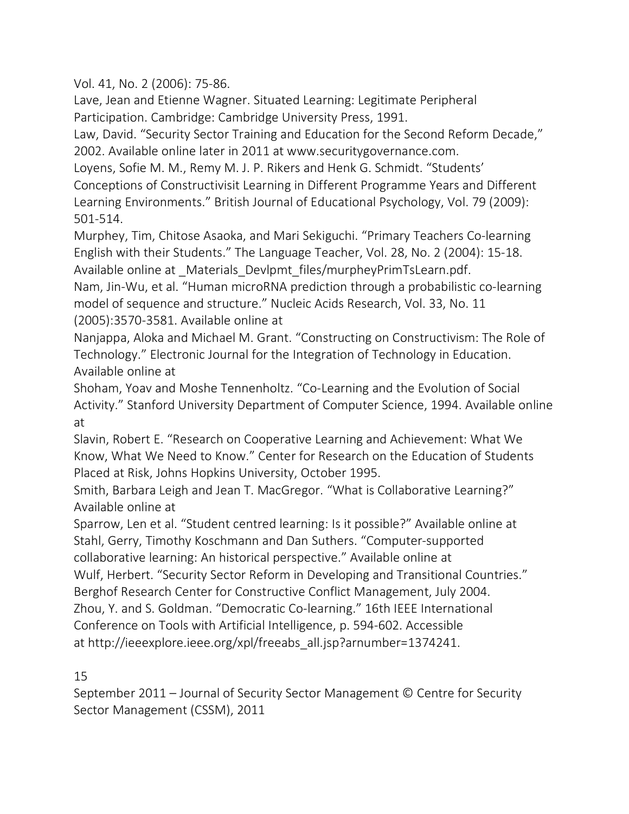Vol. 41, No. 2 (2006): 75-86.

Lave, Jean and Etienne Wagner. Situated Learning: Legitimate Peripheral Participation. Cambridge: Cambridge University Press, 1991.

Law, David. "Security Sector Training and Education for the Second Reform Decade," 2002. Available online later in 2011 at www.securitygovernance.com.

Loyens, Sofie M. M., Remy M. J. P. Rikers and Henk G. Schmidt. "Students' Conceptions of Constructivisit Learning in Different Programme Years and Different Learning Environments." British Journal of Educational Psychology, Vol. 79 (2009): 501-514.

Murphey, Tim, Chitose Asaoka, and Mari Sekiguchi. "Primary Teachers Co-learning English with their Students." The Language Teacher, Vol. 28, No. 2 (2004): 15-18. Available online at \_Materials\_Devlpmt\_files/murpheyPrimTsLearn.pdf.

Nam, Jin-Wu, et al. "Human microRNA prediction through a probabilistic co-learning model of sequence and structure." Nucleic Acids Research, Vol. 33, No. 11

(2005):3570-3581. Available online at

Nanjappa, Aloka and Michael M. Grant. "Constructing on Constructivism: The Role of Technology." Electronic Journal for the Integration of Technology in Education. Available online at

Shoham, Yoav and Moshe Tennenholtz. "Co-Learning and the Evolution of Social Activity." Stanford University Department of Computer Science, 1994. Available online at

Slavin, Robert E. "Research on Cooperative Learning and Achievement: What We Know, What We Need to Know." Center for Research on the Education of Students Placed at Risk, Johns Hopkins University, October 1995.

Smith, Barbara Leigh and Jean T. MacGregor. "What is Collaborative Learning?" Available online at

Sparrow, Len et al. "Student centred learning: Is it possible?" Available online at Stahl, Gerry, Timothy Koschmann and Dan Suthers. "Computer-supported collaborative learning: An historical perspective." Available online at Wulf, Herbert. "Security Sector Reform in Developing and Transitional Countries." Berghof Research Center for Constructive Conflict Management, July 2004. Zhou, Y. and S. Goldman. "Democratic Co-learning." 16th IEEE International Conference on Tools with Artificial Intelligence, p. 594-602. Accessible at http://ieeexplore.ieee.org/xpl/freeabs\_all.jsp?arnumber=1374241.

15

September 2011 – Journal of Security Sector Management © Centre for Security Sector Management (CSSM), 2011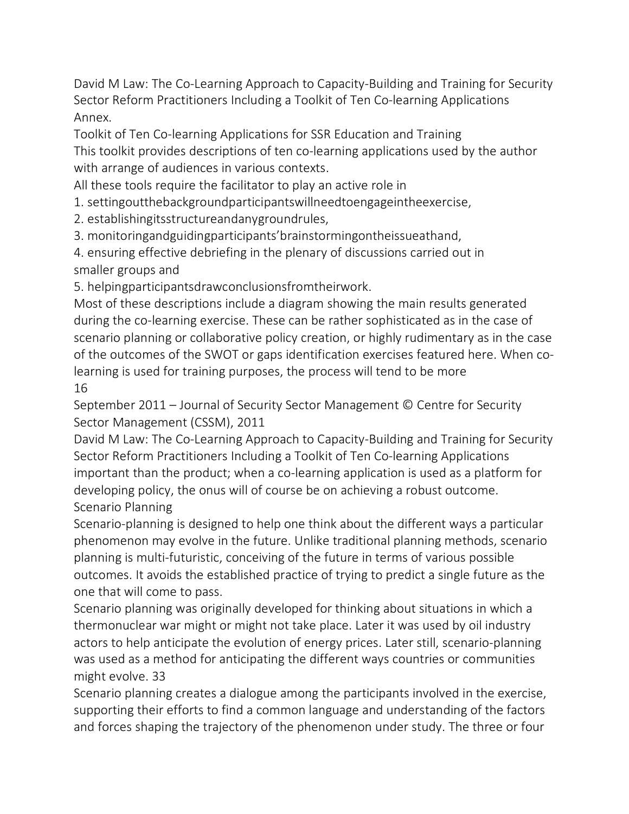David M Law: The Co-Learning Approach to Capacity-Building and Training for Security Sector Reform Practitioners Including a Toolkit of Ten Co-learning Applications Annex.

Toolkit of Ten Co-learning Applications for SSR Education and Training This toolkit provides descriptions of ten co-learning applications used by the author with arrange of audiences in various contexts.

All these tools require the facilitator to play an active role in

1. settingoutthebackgroundparticipantswillneedtoengageintheexercise,

2. establishingitsstructureandanygroundrules,

3. monitoringandguidingparticipants'brainstormingontheissueathand,

4. ensuring effective debriefing in the plenary of discussions carried out in

smaller groups and

5. helpingparticipantsdrawconclusionsfromtheirwork.

Most of these descriptions include a diagram showing the main results generated during the co-learning exercise. These can be rather sophisticated as in the case of scenario planning or collaborative policy creation, or highly rudimentary as in the case of the outcomes of the SWOT or gaps identification exercises featured here. When colearning is used for training purposes, the process will tend to be more

### 16

September 2011 – Journal of Security Sector Management © Centre for Security Sector Management (CSSM), 2011

David M Law: The Co-Learning Approach to Capacity-Building and Training for Security Sector Reform Practitioners Including a Toolkit of Ten Co-learning Applications important than the product; when a co-learning application is used as a platform for developing policy, the onus will of course be on achieving a robust outcome. Scenario Planning

Scenario-planning is designed to help one think about the different ways a particular phenomenon may evolve in the future. Unlike traditional planning methods, scenario planning is multi-futuristic, conceiving of the future in terms of various possible outcomes. It avoids the established practice of trying to predict a single future as the one that will come to pass.

Scenario planning was originally developed for thinking about situations in which a thermonuclear war might or might not take place. Later it was used by oil industry actors to help anticipate the evolution of energy prices. Later still, scenario-planning was used as a method for anticipating the different ways countries or communities might evolve. 33

Scenario planning creates a dialogue among the participants involved in the exercise, supporting their efforts to find a common language and understanding of the factors and forces shaping the trajectory of the phenomenon under study. The three or four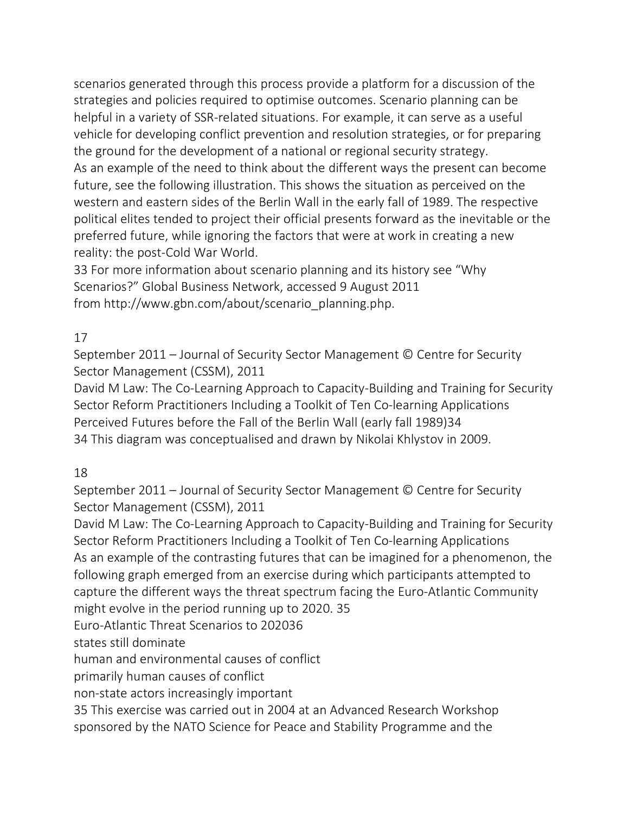scenarios generated through this process provide a platform for a discussion of the strategies and policies required to optimise outcomes. Scenario planning can be helpful in a variety of SSR-related situations. For example, it can serve as a useful vehicle for developing conflict prevention and resolution strategies, or for preparing the ground for the development of a national or regional security strategy. As an example of the need to think about the different ways the present can become future, see the following illustration. This shows the situation as perceived on the western and eastern sides of the Berlin Wall in the early fall of 1989. The respective political elites tended to project their official presents forward as the inevitable or the preferred future, while ignoring the factors that were at work in creating a new reality: the post-Cold War World.

33 For more information about scenario planning and its history see "Why Scenarios?" Global Business Network, accessed 9 August 2011 from http://www.gbn.com/about/scenario\_planning.php.

# 17

September 2011 – Journal of Security Sector Management © Centre for Security Sector Management (CSSM), 2011

David M Law: The Co-Learning Approach to Capacity-Building and Training for Security Sector Reform Practitioners Including a Toolkit of Ten Co-learning Applications Perceived Futures before the Fall of the Berlin Wall (early fall 1989)34 34 This diagram was conceptualised and drawn by Nikolai Khlystov in 2009.

### 18

September 2011 – Journal of Security Sector Management © Centre for Security Sector Management (CSSM), 2011

David M Law: The Co-Learning Approach to Capacity-Building and Training for Security Sector Reform Practitioners Including a Toolkit of Ten Co-learning Applications As an example of the contrasting futures that can be imagined for a phenomenon, the following graph emerged from an exercise during which participants attempted to capture the different ways the threat spectrum facing the Euro-Atlantic Community might evolve in the period running up to 2020. 35

Euro-Atlantic Threat Scenarios to 202036

states still dominate

human and environmental causes of conflict

primarily human causes of conflict

non-state actors increasingly important

35 This exercise was carried out in 2004 at an Advanced Research Workshop sponsored by the NATO Science for Peace and Stability Programme and the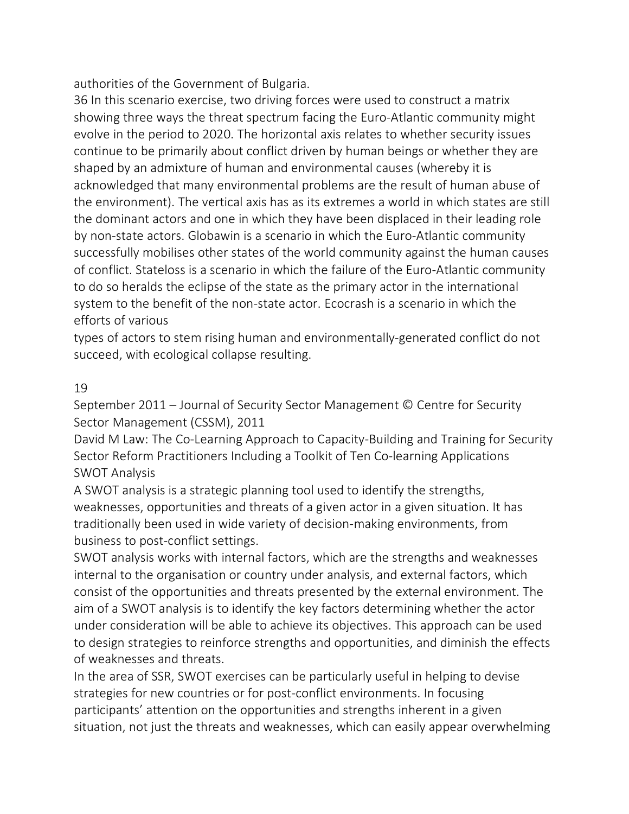authorities of the Government of Bulgaria.

36 In this scenario exercise, two driving forces were used to construct a matrix showing three ways the threat spectrum facing the Euro-Atlantic community might evolve in the period to 2020. The horizontal axis relates to whether security issues continue to be primarily about conflict driven by human beings or whether they are shaped by an admixture of human and environmental causes (whereby it is acknowledged that many environmental problems are the result of human abuse of the environment). The vertical axis has as its extremes a world in which states are still the dominant actors and one in which they have been displaced in their leading role by non-state actors. Globawin is a scenario in which the Euro-Atlantic community successfully mobilises other states of the world community against the human causes of conflict. Stateloss is a scenario in which the failure of the Euro-Atlantic community to do so heralds the eclipse of the state as the primary actor in the international system to the benefit of the non-state actor. Ecocrash is a scenario in which the efforts of various

types of actors to stem rising human and environmentally-generated conflict do not succeed, with ecological collapse resulting.

### 19

September 2011 – Journal of Security Sector Management © Centre for Security Sector Management (CSSM), 2011

David M Law: The Co-Learning Approach to Capacity-Building and Training for Security Sector Reform Practitioners Including a Toolkit of Ten Co-learning Applications SWOT Analysis

A SWOT analysis is a strategic planning tool used to identify the strengths, weaknesses, opportunities and threats of a given actor in a given situation. It has traditionally been used in wide variety of decision-making environments, from business to post-conflict settings.

SWOT analysis works with internal factors, which are the strengths and weaknesses internal to the organisation or country under analysis, and external factors, which consist of the opportunities and threats presented by the external environment. The aim of a SWOT analysis is to identify the key factors determining whether the actor under consideration will be able to achieve its objectives. This approach can be used to design strategies to reinforce strengths and opportunities, and diminish the effects of weaknesses and threats.

In the area of SSR, SWOT exercises can be particularly useful in helping to devise strategies for new countries or for post-conflict environments. In focusing participants' attention on the opportunities and strengths inherent in a given situation, not just the threats and weaknesses, which can easily appear overwhelming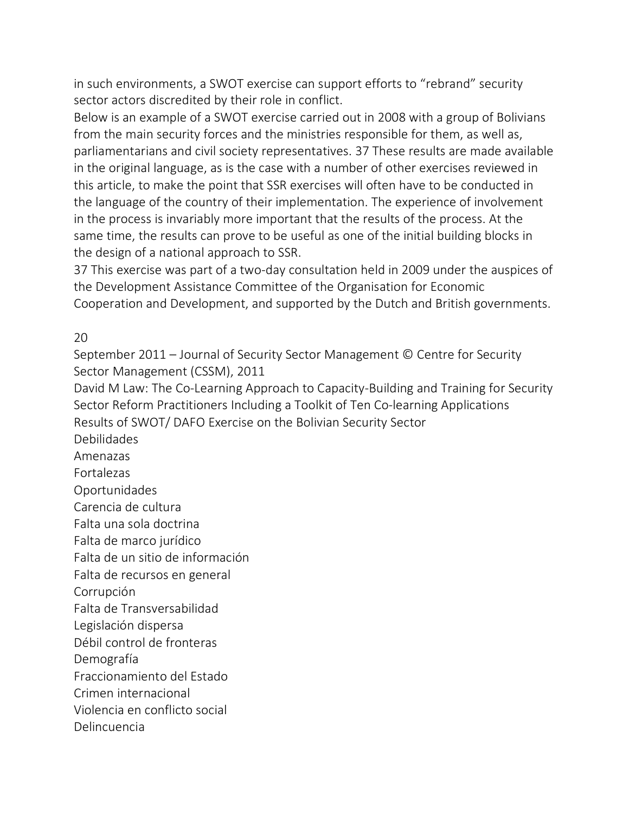in such environments, a SWOT exercise can support efforts to "rebrand" security sector actors discredited by their role in conflict.

Below is an example of a SWOT exercise carried out in 2008 with a group of Bolivians from the main security forces and the ministries responsible for them, as well as, parliamentarians and civil society representatives. 37 These results are made available in the original language, as is the case with a number of other exercises reviewed in this article, to make the point that SSR exercises will often have to be conducted in the language of the country of their implementation. The experience of involvement in the process is invariably more important that the results of the process. At the same time, the results can prove to be useful as one of the initial building blocks in the design of a national approach to SSR.

37 This exercise was part of a two-day consultation held in 2009 under the auspices of the Development Assistance Committee of the Organisation for Economic Cooperation and Development, and supported by the Dutch and British governments.

20

September 2011 – Journal of Security Sector Management © Centre for Security Sector Management (CSSM), 2011

David M Law: The Co-Learning Approach to Capacity-Building and Training for Security Sector Reform Practitioners Including a Toolkit of Ten Co-learning Applications Results of SWOT/ DAFO Exercise on the Bolivian Security Sector

Debilidades

Amenazas

Fortalezas

Oportunidades

Carencia de cultura

Falta una sola doctrina

Falta de marco jurídico

Falta de un sitio de información

Falta de recursos en general

Corrupción

Falta de Transversabilidad

Legislación dispersa

Débil control de fronteras

Demografía

Fraccionamiento del Estado

Crimen internacional

Violencia en conflicto social

Delincuencia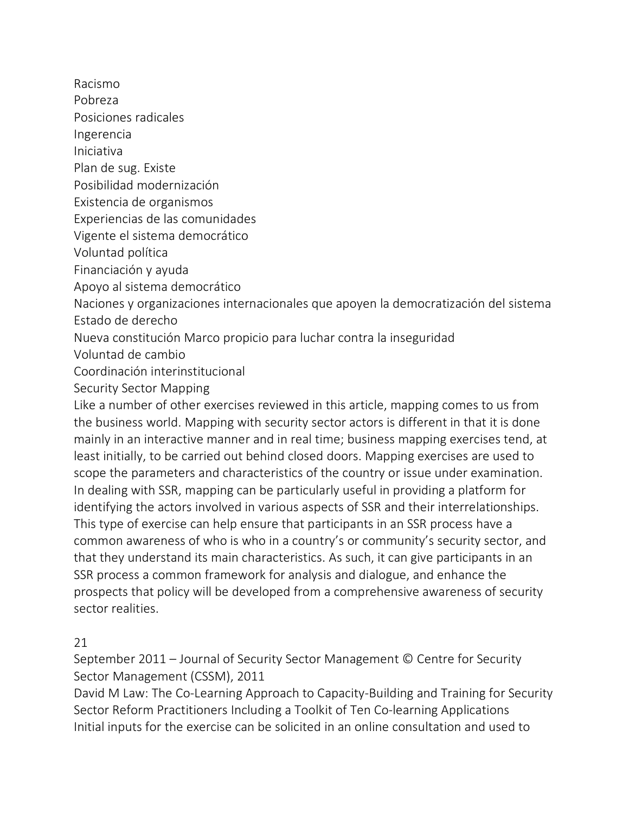Racismo

Pobreza

Posiciones radicales

Ingerencia

Iniciativa

Plan de sug. Existe

Posibilidad modernización

Existencia de organismos

Experiencias de las comunidades

Vigente el sistema democrático

Voluntad política

Financiación y ayuda

Apoyo al sistema democrático

Naciones y organizaciones internacionales que apoyen la democratización del sistema Estado de derecho

Nueva constitución Marco propicio para luchar contra la inseguridad

Voluntad de cambio

Coordinación interinstitucional

Security Sector Mapping

Like a number of other exercises reviewed in this article, mapping comes to us from the business world. Mapping with security sector actors is different in that it is done mainly in an interactive manner and in real time; business mapping exercises tend, at least initially, to be carried out behind closed doors. Mapping exercises are used to scope the parameters and characteristics of the country or issue under examination. In dealing with SSR, mapping can be particularly useful in providing a platform for identifying the actors involved in various aspects of SSR and their interrelationships. This type of exercise can help ensure that participants in an SSR process have a common awareness of who is who in a country's or community's security sector, and that they understand its main characteristics. As such, it can give participants in an SSR process a common framework for analysis and dialogue, and enhance the prospects that policy will be developed from a comprehensive awareness of security sector realities.

# 21

September 2011 – Journal of Security Sector Management © Centre for Security Sector Management (CSSM), 2011

David M Law: The Co-Learning Approach to Capacity-Building and Training for Security Sector Reform Practitioners Including a Toolkit of Ten Co-learning Applications Initial inputs for the exercise can be solicited in an online consultation and used to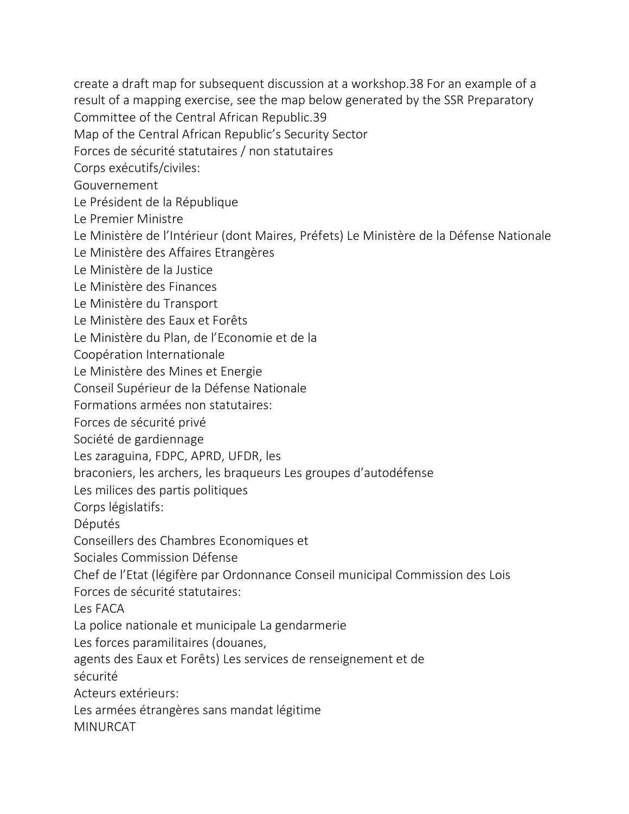create a draft map for subsequent discussion at a workshop.38 For an example of a result of a mapping exercise, see the map below generated by the SSR Preparatory

Committee of the Central African Republic.39

Map of the Central African Republic's Security Sector

Forces de sécurité statutaires / non statutaires

Corps exécutifs/civiles:

Gouvernement

Le Président de la République

Le Premier Ministre

Le Ministère de l'Intérieur (dont Maires, Préfets) Le Ministère de la Défense Nationale

Le Ministère des Affaires Etrangères

Le Ministère de la Justice

Le Ministère des Finances

Le Ministère du Transport

Le Ministère des Eaux et Forêts

Le Ministère du Plan, de l'Economie et de la

Coopération Internationale

Le Ministère des Mines et Energie

Conseil Supérieur de la Défense Nationale

Formations armées non statutaires:

Forces de sécurité privé

Société de gardiennage

Les zaraguina, FDPC, APRD, UFDR, les

braconiers, les archers, les braqueurs Les groupes d'autodéfense

Les milices des partis politiques

Corps législatifs:

Députés

Conseillers des Chambres Economiques et

Sociales Commission Défense

Chef de l'Etat (légifère par Ordonnance Conseil municipal Commission des Lois

Forces de sécurité statutaires:

Les FACA

La police nationale et municipale La gendarmerie

Les forces paramilitaires (douanes,

agents des Eaux et Forêts) Les services de renseignement et de

sécurité

Acteurs extérieurs:

Les armées étrangères sans mandat légitime

MINURCAT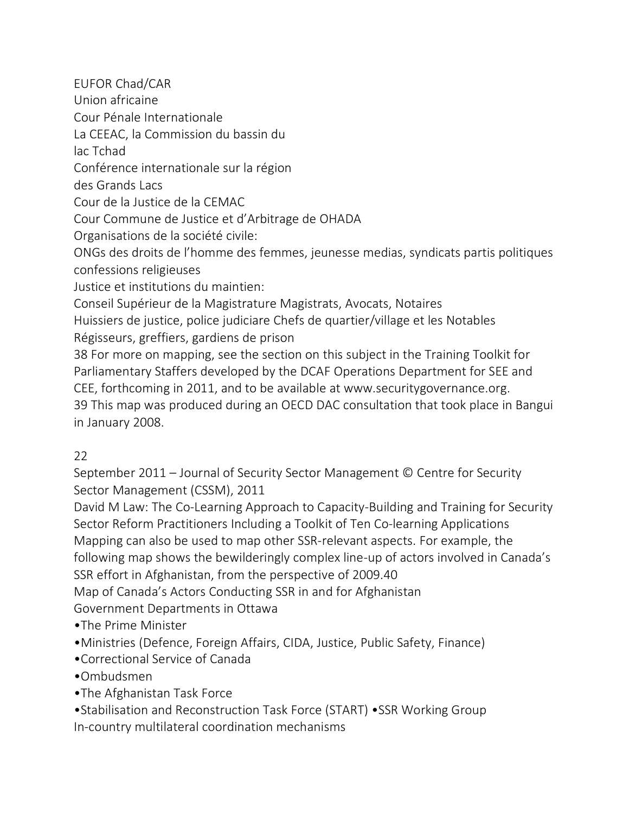EUFOR Chad/CAR Union africaine Cour Pénale Internationale La CEEAC, la Commission du bassin du lac Tchad Conférence internationale sur la région des Grands Lacs Cour de la Justice de la CEMAC Cour Commune de Justice et d'Arbitrage de OHADA Organisations de la société civile: ONGs des droits de l'homme des femmes, jeunesse medias, syndicats partis politiques confessions religieuses Justice et institutions du maintien: Conseil Supérieur de la Magistrature Magistrats, Avocats, Notaires Huissiers de justice, police judiciare Chefs de quartier/village et les Notables Régisseurs, greffiers, gardiens de prison 38 For more on mapping, see the section on this subject in the Training Toolkit for Parliamentary Staffers developed by the DCAF Operations Department for SEE and CEE, forthcoming in 2011, and to be available at www.securitygovernance.org. 39 This map was produced during an OECD DAC consultation that took place in Bangui in January 2008.

# $22$

September 2011 – Journal of Security Sector Management © Centre for Security Sector Management (CSSM), 2011

David M Law: The Co-Learning Approach to Capacity-Building and Training for Security Sector Reform Practitioners Including a Toolkit of Ten Co-learning Applications Mapping can also be used to map other SSR-relevant aspects. For example, the following map shows the bewilderingly complex line-up of actors involved in Canada's SSR effort in Afghanistan, from the perspective of 2009.40

Map of Canada's Actors Conducting SSR in and for Afghanistan

Government Departments in Ottawa

- •The Prime Minister
- •Ministries (Defence, Foreign Affairs, CIDA, Justice, Public Safety, Finance)
- •Correctional Service of Canada
- •Ombudsmen
- •The Afghanistan Task Force
- •Stabilisation and Reconstruction Task Force (START) •SSR Working Group In-country multilateral coordination mechanisms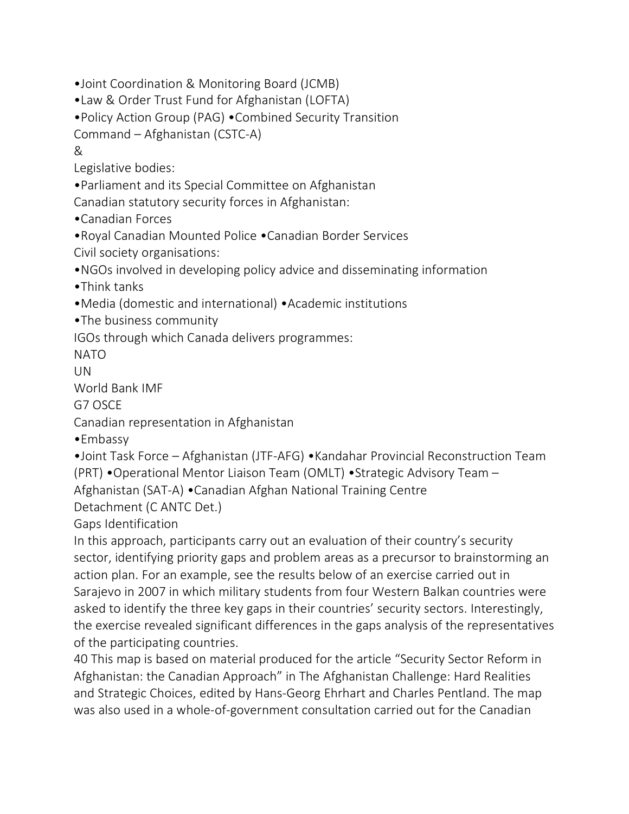- •Joint Coordination & Monitoring Board (JCMB)
- •Law & Order Trust Fund for Afghanistan (LOFTA)
- •Policy Action Group (PAG) •Combined Security Transition
- Command Afghanistan (CSTC-A)

&

Legislative bodies:

•Parliament and its Special Committee on Afghanistan

Canadian statutory security forces in Afghanistan:

•Canadian Forces

•Royal Canadian Mounted Police •Canadian Border Services

Civil society organisations:

•NGOs involved in developing policy advice and disseminating information

- •Think tanks
- •Media (domestic and international) •Academic institutions

•The business community

IGOs through which Canada delivers programmes:

NATO

UN

World Bank IMF

G7 OSCE

Canadian representation in Afghanistan

•Embassy

•Joint Task Force – Afghanistan (JTF-AFG) •Kandahar Provincial Reconstruction Team (PRT) •Operational Mentor Liaison Team (OMLT) •Strategic Advisory Team – Afghanistan (SAT-A) •Canadian Afghan National Training Centre

Detachment (C ANTC Det.)

Gaps Identification

In this approach, participants carry out an evaluation of their country's security sector, identifying priority gaps and problem areas as a precursor to brainstorming an action plan. For an example, see the results below of an exercise carried out in Sarajevo in 2007 in which military students from four Western Balkan countries were asked to identify the three key gaps in their countries' security sectors. Interestingly, the exercise revealed significant differences in the gaps analysis of the representatives of the participating countries.

40 This map is based on material produced for the article "Security Sector Reform in Afghanistan: the Canadian Approach" in The Afghanistan Challenge: Hard Realities and Strategic Choices, edited by Hans-Georg Ehrhart and Charles Pentland. The map was also used in a whole-of-government consultation carried out for the Canadian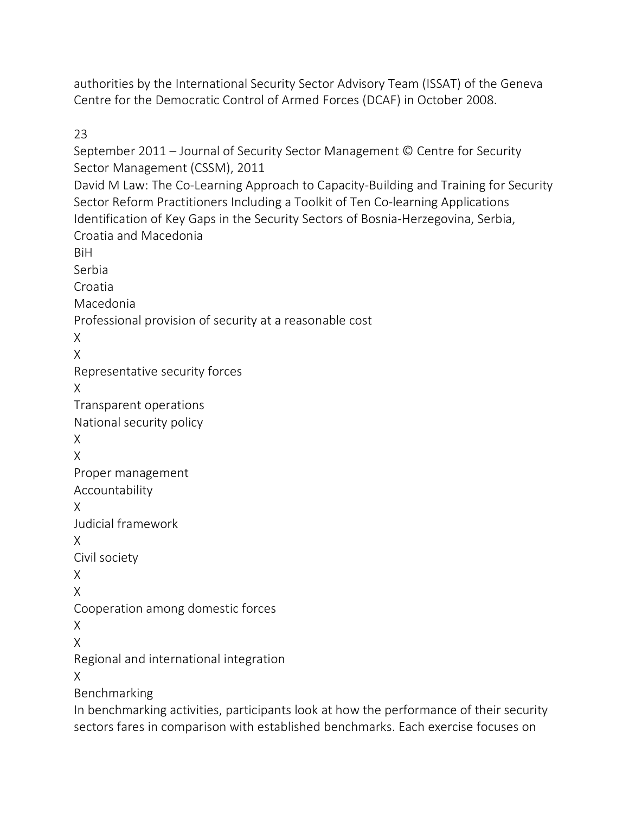authorities by the International Security Sector Advisory Team (ISSAT) of the Geneva Centre for the Democratic Control of Armed Forces (DCAF) in October 2008.

23

September 2011 – Journal of Security Sector Management © Centre for Security Sector Management (CSSM), 2011 David M Law: The Co-Learning Approach to Capacity-Building and Training for Security Sector Reform Practitioners Including a Toolkit of Ten Co-learning Applications Identification of Key Gaps in the Security Sectors of Bosnia-Herzegovina, Serbia, Croatia and Macedonia BiH Serbia Croatia Macedonia Professional provision of security at a reasonable cost X X Representative security forces X Transparent operations National security policy X X Proper management Accountability X Judicial framework X Civil society X X Cooperation among domestic forces X X Regional and international integration X Benchmarking In benchmarking activities, participants look at how the performance of their security

sectors fares in comparison with established benchmarks. Each exercise focuses on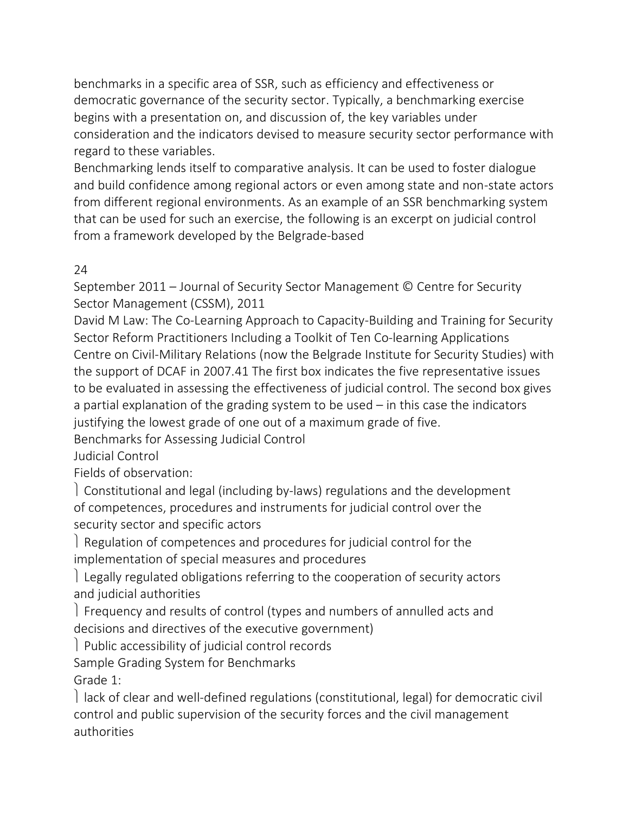benchmarks in a specific area of SSR, such as efficiency and effectiveness or democratic governance of the security sector. Typically, a benchmarking exercise begins with a presentation on, and discussion of, the key variables under consideration and the indicators devised to measure security sector performance with regard to these variables.

Benchmarking lends itself to comparative analysis. It can be used to foster dialogue and build confidence among regional actors or even among state and non-state actors from different regional environments. As an example of an SSR benchmarking system that can be used for such an exercise, the following is an excerpt on judicial control from a framework developed by the Belgrade-based

# 24

September 2011 – Journal of Security Sector Management © Centre for Security Sector Management (CSSM), 2011

David M Law: The Co-Learning Approach to Capacity-Building and Training for Security Sector Reform Practitioners Including a Toolkit of Ten Co-learning Applications Centre on Civil-Military Relations (now the Belgrade Institute for Security Studies) with the support of DCAF in 2007.41 The first box indicates the five representative issues to be evaluated in assessing the effectiveness of judicial control. The second box gives a partial explanation of the grading system to be used – in this case the indicators justifying the lowest grade of one out of a maximum grade of five.

Benchmarks for Assessing Judicial Control

Judicial Control

Fields of observation:

ü Constitutional and legal (including by-laws) regulations and the development of competences, procedures and instruments for judicial control over the security sector and specific actors

 $\vert$  Regulation of competences and procedures for judicial control for the implementation of special measures and procedures

Legally regulated obligations referring to the cooperation of security actors and judicial authorities

Frequency and results of control (types and numbers of annulled acts and decisions and directives of the executive government)

Public accessibility of judicial control records

Sample Grading System for Benchmarks

Grade 1:

l lack of clear and well-defined regulations (constitutional, legal) for democratic civil control and public supervision of the security forces and the civil management authorities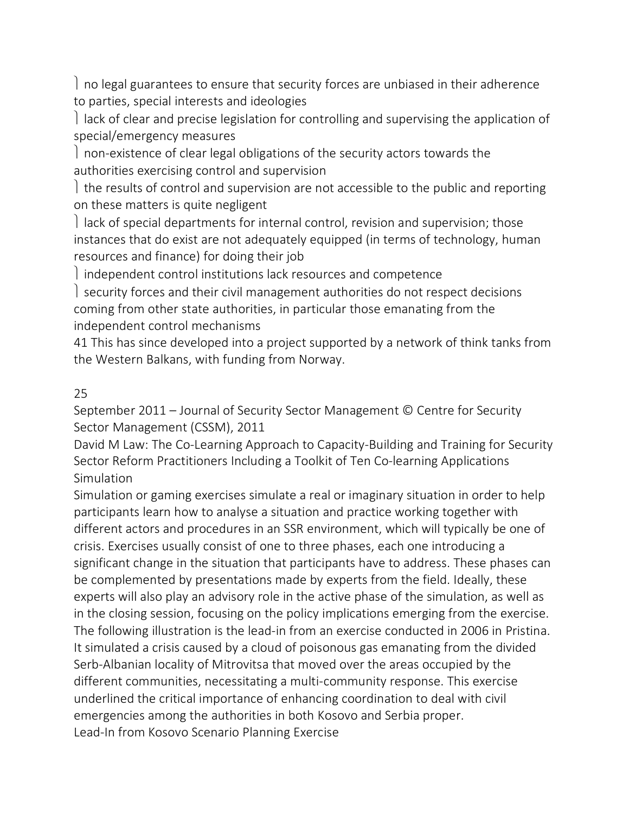$\vert$  no legal guarantees to ensure that security forces are unbiased in their adherence to parties, special interests and ideologies

 $\vert$  lack of clear and precise legislation for controlling and supervising the application of special/emergency measures

I non-existence of clear legal obligations of the security actors towards the authorities exercising control and supervision

I the results of control and supervision are not accessible to the public and reporting on these matters is quite negligent

l lack of special departments for internal control, revision and supervision; those instances that do exist are not adequately equipped (in terms of technology, human resources and finance) for doing their job

I independent control institutions lack resources and competence

I security forces and their civil management authorities do not respect decisions coming from other state authorities, in particular those emanating from the independent control mechanisms

41 This has since developed into a project supported by a network of think tanks from the Western Balkans, with funding from Norway.

# 25

September 2011 – Journal of Security Sector Management © Centre for Security Sector Management (CSSM), 2011

David M Law: The Co-Learning Approach to Capacity-Building and Training for Security Sector Reform Practitioners Including a Toolkit of Ten Co-learning Applications **Simulation** 

Simulation or gaming exercises simulate a real or imaginary situation in order to help participants learn how to analyse a situation and practice working together with different actors and procedures in an SSR environment, which will typically be one of crisis. Exercises usually consist of one to three phases, each one introducing a significant change in the situation that participants have to address. These phases can be complemented by presentations made by experts from the field. Ideally, these experts will also play an advisory role in the active phase of the simulation, as well as in the closing session, focusing on the policy implications emerging from the exercise. The following illustration is the lead-in from an exercise conducted in 2006 in Pristina. It simulated a crisis caused by a cloud of poisonous gas emanating from the divided Serb-Albanian locality of Mitrovitsa that moved over the areas occupied by the different communities, necessitating a multi-community response. This exercise underlined the critical importance of enhancing coordination to deal with civil emergencies among the authorities in both Kosovo and Serbia proper. Lead-In from Kosovo Scenario Planning Exercise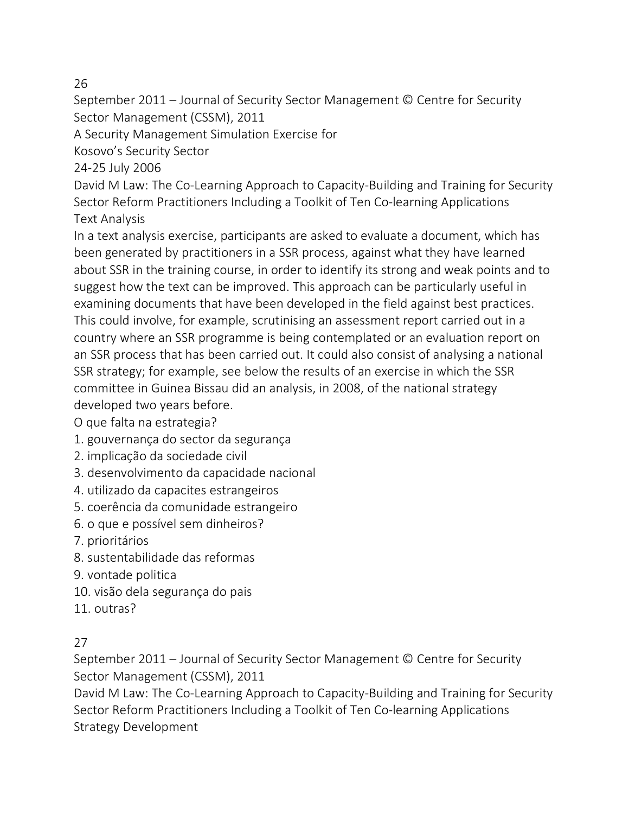### 26

September 2011 – Journal of Security Sector Management © Centre for Security Sector Management (CSSM), 2011

A Security Management Simulation Exercise for

Kosovo's Security Sector

24-25 July 2006

David M Law: The Co-Learning Approach to Capacity-Building and Training for Security Sector Reform Practitioners Including a Toolkit of Ten Co-learning Applications Text Analysis

In a text analysis exercise, participants are asked to evaluate a document, which has been generated by practitioners in a SSR process, against what they have learned about SSR in the training course, in order to identify its strong and weak points and to suggest how the text can be improved. This approach can be particularly useful in examining documents that have been developed in the field against best practices. This could involve, for example, scrutinising an assessment report carried out in a country where an SSR programme is being contemplated or an evaluation report on an SSR process that has been carried out. It could also consist of analysing a national SSR strategy; for example, see below the results of an exercise in which the SSR committee in Guinea Bissau did an analysis, in 2008, of the national strategy developed two years before.

O que falta na estrategia?

- 1. gouvernança do sector da segurança
- 2. implicação da sociedade civil
- 3. desenvolvimento da capacidade nacional
- 4. utilizado da capacites estrangeiros
- 5. coerência da comunidade estrangeiro
- 6. o que e possível sem dinheiros?
- 7. prioritários
- 8. sustentabilidade das reformas
- 9. vontade politica
- 10. visão dela segurança do pais
- 11. outras?

# 27

September 2011 – Journal of Security Sector Management © Centre for Security Sector Management (CSSM), 2011

David M Law: The Co-Learning Approach to Capacity-Building and Training for Security Sector Reform Practitioners Including a Toolkit of Ten Co-learning Applications Strategy Development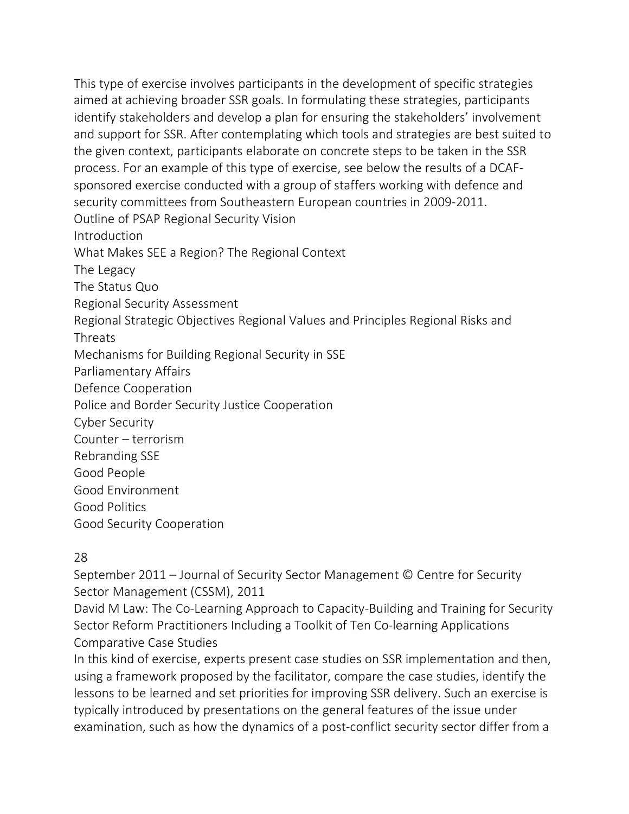This type of exercise involves participants in the development of specific strategies aimed at achieving broader SSR goals. In formulating these strategies, participants identify stakeholders and develop a plan for ensuring the stakeholders' involvement and support for SSR. After contemplating which tools and strategies are best suited to the given context, participants elaborate on concrete steps to be taken in the SSR process. For an example of this type of exercise, see below the results of a DCAFsponsored exercise conducted with a group of staffers working with defence and security committees from Southeastern European countries in 2009-2011. Outline of PSAP Regional Security Vision Introduction What Makes SEE a Region? The Regional Context The Legacy The Status Quo Regional Security Assessment Regional Strategic Objectives Regional Values and Principles Regional Risks and Threats Mechanisms for Building Regional Security in SSE Parliamentary Affairs Defence Cooperation Police and Border Security Justice Cooperation Cyber Security Counter – terrorism Rebranding SSE Good People Good Environment Good Politics Good Security Cooperation

### 28

September 2011 – Journal of Security Sector Management © Centre for Security Sector Management (CSSM), 2011

David M Law: The Co-Learning Approach to Capacity-Building and Training for Security Sector Reform Practitioners Including a Toolkit of Ten Co-learning Applications Comparative Case Studies

In this kind of exercise, experts present case studies on SSR implementation and then, using a framework proposed by the facilitator, compare the case studies, identify the lessons to be learned and set priorities for improving SSR delivery. Such an exercise is typically introduced by presentations on the general features of the issue under examination, such as how the dynamics of a post-conflict security sector differ from a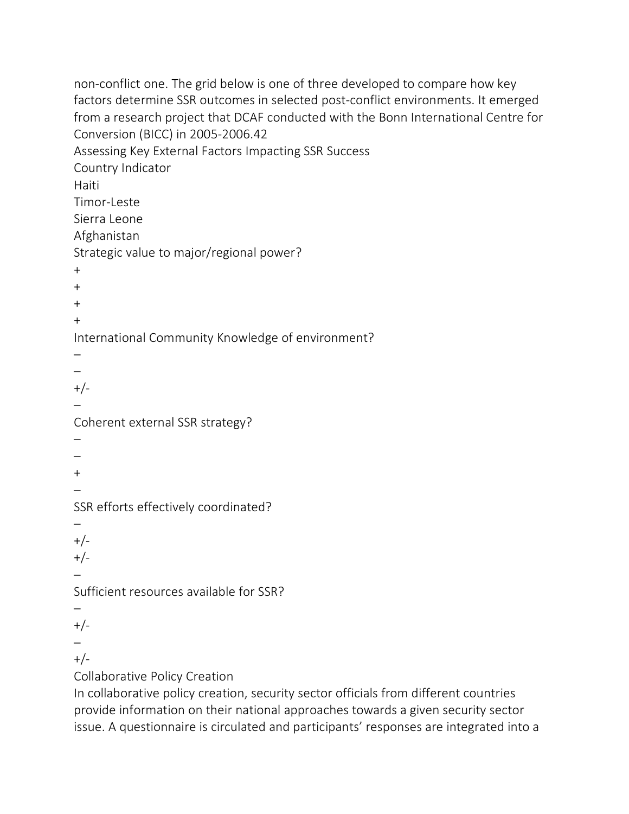non-conflict one. The grid below is one of three developed to compare how key factors determine SSR outcomes in selected post-conflict environments. It emerged from a research project that DCAF conducted with the Bonn International Centre for Conversion (BICC) in 2005-2006.42 Assessing Key External Factors Impacting SSR Success Country Indicator Haiti Timor-Leste Sierra Leone Afghanistan Strategic value to major/regional power?  $+$ + + + International Community Knowledge of environment? – – +/- – Coherent external SSR strategy? – – + – SSR efforts effectively coordinated? –  $+/-$ +/- – Sufficient resources available for SSR? – +/- – +/- Collaborative Policy Creation In collaborative policy creation, security sector officials from different countries provide information on their national approaches towards a given security sector

issue. A questionnaire is circulated and participants' responses are integrated into a